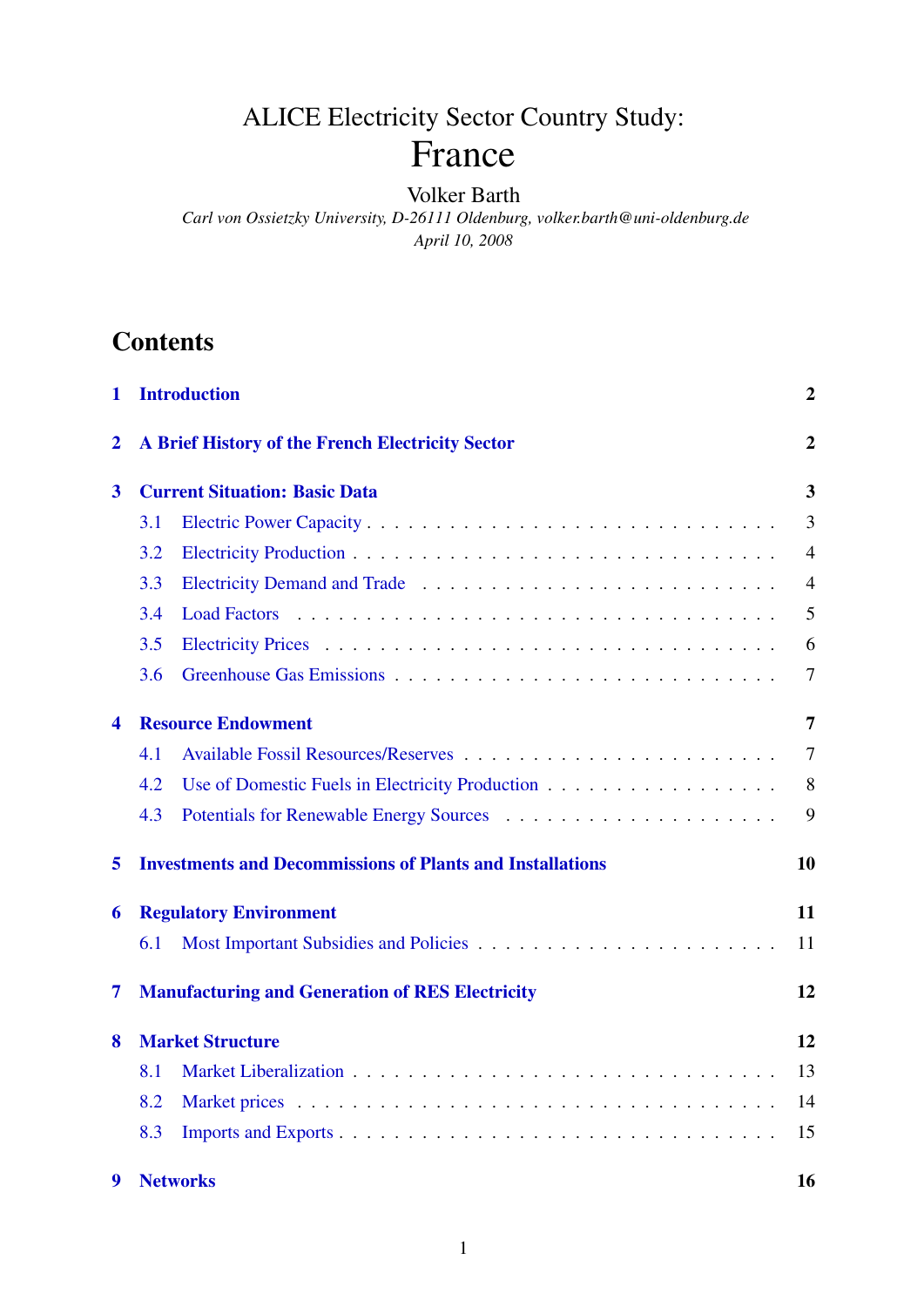# ALICE Electricity Sector Country Study: France

### Volker Barth

*Carl von Ossietzky University, D-26111 Oldenburg, volker.barth@uni-oldenburg.de April 10, 2008*

# **Contents**

| 1                                                        | <b>Introduction</b>                              |                                                                  |                |  |  |
|----------------------------------------------------------|--------------------------------------------------|------------------------------------------------------------------|----------------|--|--|
| $\overline{2}$                                           | A Brief History of the French Electricity Sector |                                                                  |                |  |  |
| <b>Current Situation: Basic Data</b><br>$\boldsymbol{3}$ |                                                  |                                                                  |                |  |  |
|                                                          | 3.1                                              |                                                                  | 3              |  |  |
|                                                          | 3.2                                              |                                                                  | $\overline{4}$ |  |  |
|                                                          | 3.3                                              |                                                                  | $\overline{4}$ |  |  |
|                                                          | 3.4                                              |                                                                  | 5              |  |  |
|                                                          | 3.5                                              |                                                                  | 6              |  |  |
|                                                          | 3.6                                              |                                                                  | 7              |  |  |
| 4                                                        |                                                  | <b>Resource Endowment</b>                                        | 7              |  |  |
|                                                          | 4.1                                              |                                                                  | 7              |  |  |
|                                                          | 4.2                                              |                                                                  | 8              |  |  |
|                                                          | 4.3                                              |                                                                  | 9              |  |  |
| 5                                                        |                                                  | <b>Investments and Decommissions of Plants and Installations</b> | 10             |  |  |
| 6                                                        |                                                  | <b>Regulatory Environment</b>                                    | 11             |  |  |
|                                                          | 6.1                                              |                                                                  | 11             |  |  |
| 7                                                        |                                                  | <b>Manufacturing and Generation of RES Electricity</b>           | 12             |  |  |
| <b>Market Structure</b><br>8                             |                                                  |                                                                  |                |  |  |
|                                                          | 8.1                                              |                                                                  | 13             |  |  |
|                                                          | 8.2                                              |                                                                  | 14             |  |  |
|                                                          | 8.3                                              |                                                                  | 15             |  |  |
| 9                                                        |                                                  | <b>Networks</b>                                                  | 16             |  |  |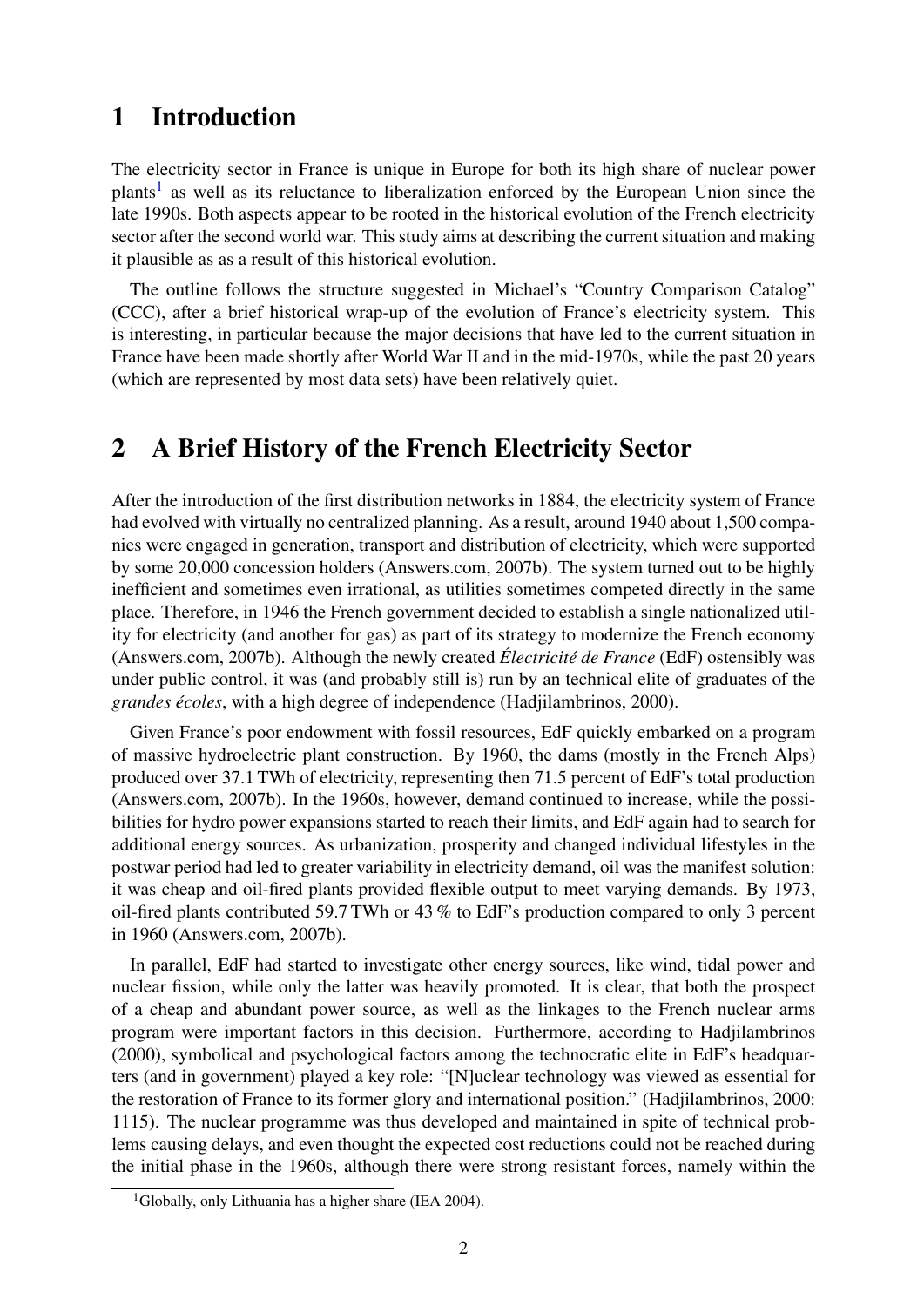# <span id="page-1-0"></span>1 Introduction

The electricity sector in France is unique in Europe for both its high share of nuclear power plants<sup>[1](#page-1-2)</sup> as well as its reluctance to liberalization enforced by the European Union since the late 1990s. Both aspects appear to be rooted in the historical evolution of the French electricity sector after the second world war. This study aims at describing the current situation and making it plausible as as a result of this historical evolution.

The outline follows the structure suggested in Michael's "Country Comparison Catalog" (CCC), after a brief historical wrap-up of the evolution of France's electricity system. This is interesting, in particular because the major decisions that have led to the current situation in France have been made shortly after World War II and in the mid-1970s, while the past 20 years (which are represented by most data sets) have been relatively quiet.

# <span id="page-1-1"></span>2 A Brief History of the French Electricity Sector

After the introduction of the first distribution networks in 1884, the electricity system of France had evolved with virtually no centralized planning. As a result, around 1940 about 1,500 companies were engaged in generation, transport and distribution of electricity, which were supported by some 20,000 concession holders (Answers.com, 2007b). The system turned out to be highly inefficient and sometimes even irrational, as utilities sometimes competed directly in the same place. Therefore, in 1946 the French government decided to establish a single nationalized utility for electricity (and another for gas) as part of its strategy to modernize the French economy (Answers.com, 2007b). Although the newly created *Électricité de France* (EdF) ostensibly was under public control, it was (and probably still is) run by an technical elite of graduates of the *grandes écoles*, with a high degree of independence (Hadjilambrinos, 2000).

Given France's poor endowment with fossil resources, EdF quickly embarked on a program of massive hydroelectric plant construction. By 1960, the dams (mostly in the French Alps) produced over 37.1 TWh of electricity, representing then 71.5 percent of EdF's total production (Answers.com, 2007b). In the 1960s, however, demand continued to increase, while the possibilities for hydro power expansions started to reach their limits, and EdF again had to search for additional energy sources. As urbanization, prosperity and changed individual lifestyles in the postwar period had led to greater variability in electricity demand, oil was the manifest solution: it was cheap and oil-fired plants provided flexible output to meet varying demands. By 1973, oil-fired plants contributed 59.7 TWh or 43 % to EdF's production compared to only 3 percent in 1960 (Answers.com, 2007b).

In parallel, EdF had started to investigate other energy sources, like wind, tidal power and nuclear fission, while only the latter was heavily promoted. It is clear, that both the prospect of a cheap and abundant power source, as well as the linkages to the French nuclear arms program were important factors in this decision. Furthermore, according to Hadjilambrinos (2000), symbolical and psychological factors among the technocratic elite in EdF's headquarters (and in government) played a key role: "[N]uclear technology was viewed as essential for the restoration of France to its former glory and international position." (Hadjilambrinos, 2000: 1115). The nuclear programme was thus developed and maintained in spite of technical problems causing delays, and even thought the expected cost reductions could not be reached during the initial phase in the 1960s, although there were strong resistant forces, namely within the

<span id="page-1-2"></span><sup>&</sup>lt;sup>1</sup>Globally, only Lithuania has a higher share (IEA 2004).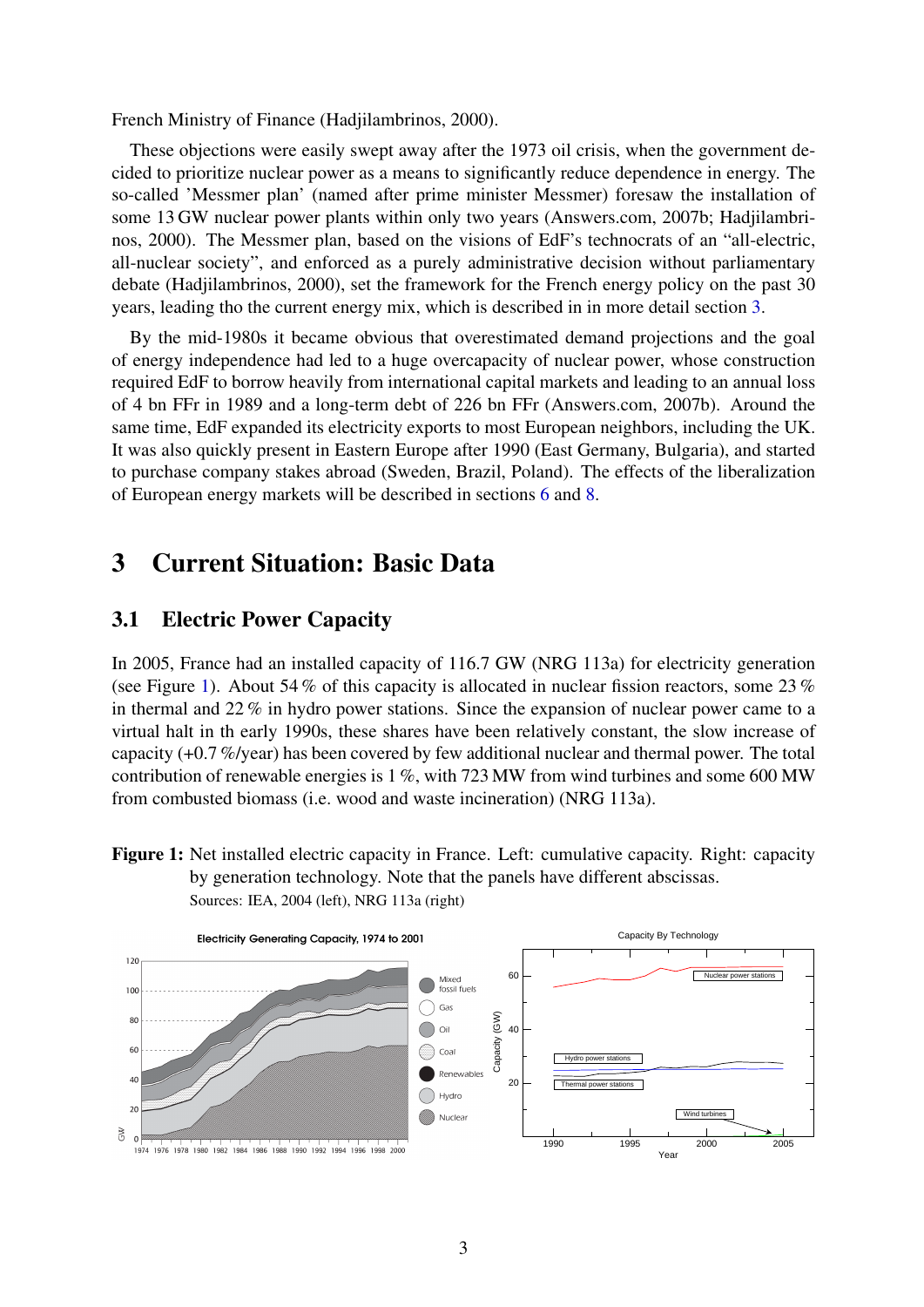French Ministry of Finance (Hadjilambrinos, 2000).

These objections were easily swept away after the 1973 oil crisis, when the government decided to prioritize nuclear power as a means to significantly reduce dependence in energy. The so-called 'Messmer plan' (named after prime minister Messmer) foresaw the installation of some 13 GW nuclear power plants within only two years (Answers.com, 2007b; Hadjilambrinos, 2000). The Messmer plan, based on the visions of EdF's technocrats of an "all-electric, all-nuclear society", and enforced as a purely administrative decision without parliamentary debate (Hadjilambrinos, 2000), set the framework for the French energy policy on the past 30 years, leading tho the current energy mix, which is described in in more detail section [3.](#page-2-0)

By the mid-1980s it became obvious that overestimated demand projections and the goal of energy independence had led to a huge overcapacity of nuclear power, whose construction required EdF to borrow heavily from international capital markets and leading to an annual loss of 4 bn FFr in 1989 and a long-term debt of 226 bn FFr (Answers.com, 2007b). Around the same time, EdF expanded its electricity exports to most European neighbors, including the UK. It was also quickly present in Eastern Europe after 1990 (East Germany, Bulgaria), and started to purchase company stakes abroad (Sweden, Brazil, Poland). The effects of the liberalization of European energy markets will be described in sections [6](#page-10-0) and [8.](#page-11-1)

# <span id="page-2-0"></span>3 Current Situation: Basic Data

### <span id="page-2-1"></span>3.1 Electric Power Capacity

In 2005, France had an installed capacity of 116.7 GW (NRG 113a) for electricity generation (see Figure [1\)](#page-2-2). About 54 % of this capacity is allocated in nuclear fission reactors, some 23 % in thermal and 22 % in hydro power stations. Since the expansion of nuclear power came to a virtual halt in th early 1990s, these shares have been relatively constant, the slow increase of capacity (+0.7 %/year) has been covered by few additional nuclear and thermal power. The total contribution of renewable energies is 1 %, with 723 MW from wind turbines and some 600 MW from combusted biomass (i.e. wood and waste incineration) (NRG 113a).

<span id="page-2-2"></span>Figure 1: Net installed electric capacity in France. Left: cumulative capacity. Right: capacity by generation technology. Note that the panels have different abscissas. Sources: IEA, 2004 (left), NRG 113a (right)

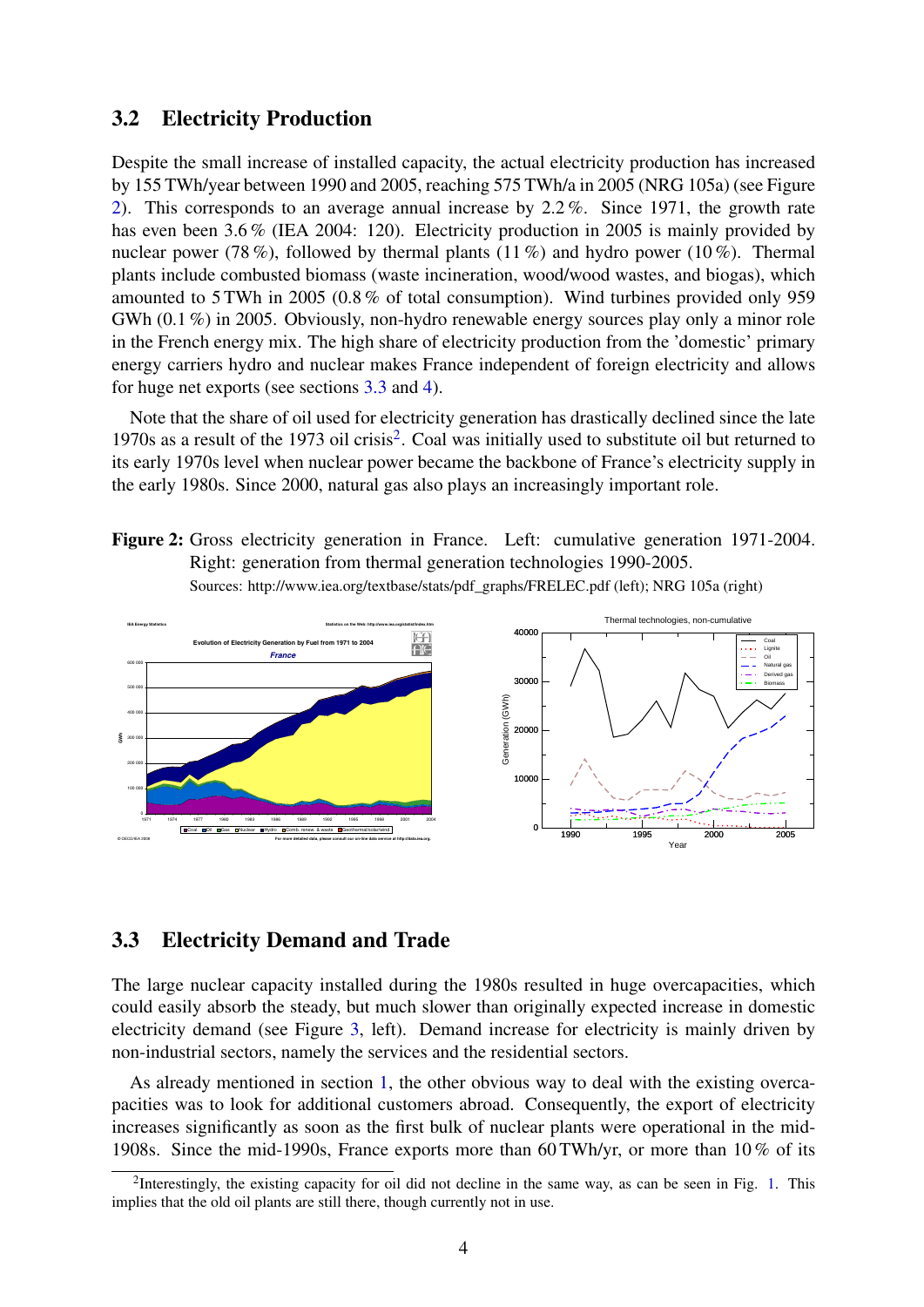### <span id="page-3-0"></span>3.2 Electricity Production

Despite the small increase of installed capacity, the actual electricity production has increased by 155 TWh/year between 1990 and 2005, reaching 575 TWh/a in 2005 (NRG 105a) (see Figure [2\)](#page-3-2). This corresponds to an average annual increase by 2.2 %. Since 1971, the growth rate has even been 3.6 % (IEA 2004: 120). Electricity production in 2005 is mainly provided by nuclear power (78%), followed by thermal plants (11%) and hydro power (10%). Thermal plants include combusted biomass (waste incineration, wood/wood wastes, and biogas), which amounted to 5 TWh in 2005 (0.8 % of total consumption). Wind turbines provided only 959 GWh (0.1 %) in 2005. Obviously, non-hydro renewable energy sources play only a minor role in the French energy mix. The high share of electricity production from the 'domestic' primary energy carriers hydro and nuclear makes France independent of foreign electricity and allows for huge net exports (see sections [3.3](#page-3-1) and [4\)](#page-6-1).

Note that the share of oil used for electricity generation has drastically declined since the late 1970s as a result of the 1973 oil crisis<sup>[2](#page-3-3)</sup>. Coal was initially used to substitute oil but returned to its early 1970s level when nuclear power became the backbone of France's electricity supply in the early 1980s. Since 2000, natural gas also plays an increasingly important role.

<span id="page-3-2"></span>Figure 2: Gross electricity generation in France. Left: cumulative generation 1971-2004. Right: generation from thermal generation technologies 1990-2005. Sources: http://www.iea.org/textbase/stats/pdf\_graphs/FRELEC.pdf (left); NRG 105a (right)



#### <span id="page-3-1"></span>3.3 Electricity Demand and Trade

The large nuclear capacity installed during the 1980s resulted in huge overcapacities, which could easily absorb the steady, but much slower than originally expected increase in domestic electricity demand (see Figure [3,](#page-4-1) left). Demand increase for electricity is mainly driven by non-industrial sectors, namely the services and the residential sectors.

As already mentioned in section [1,](#page-1-0) the other obvious way to deal with the existing overcapacities was to look for additional customers abroad. Consequently, the export of electricity increases significantly as soon as the first bulk of nuclear plants were operational in the mid-1908s. Since the mid-1990s, France exports more than 60 TWh/yr, or more than 10 % of its

<span id="page-3-3"></span><sup>&</sup>lt;sup>2</sup>Interestingly, the existing capacity for oil did not decline in the same way, as can be seen in Fig. [1.](#page-2-2) This implies that the old oil plants are still there, though currently not in use.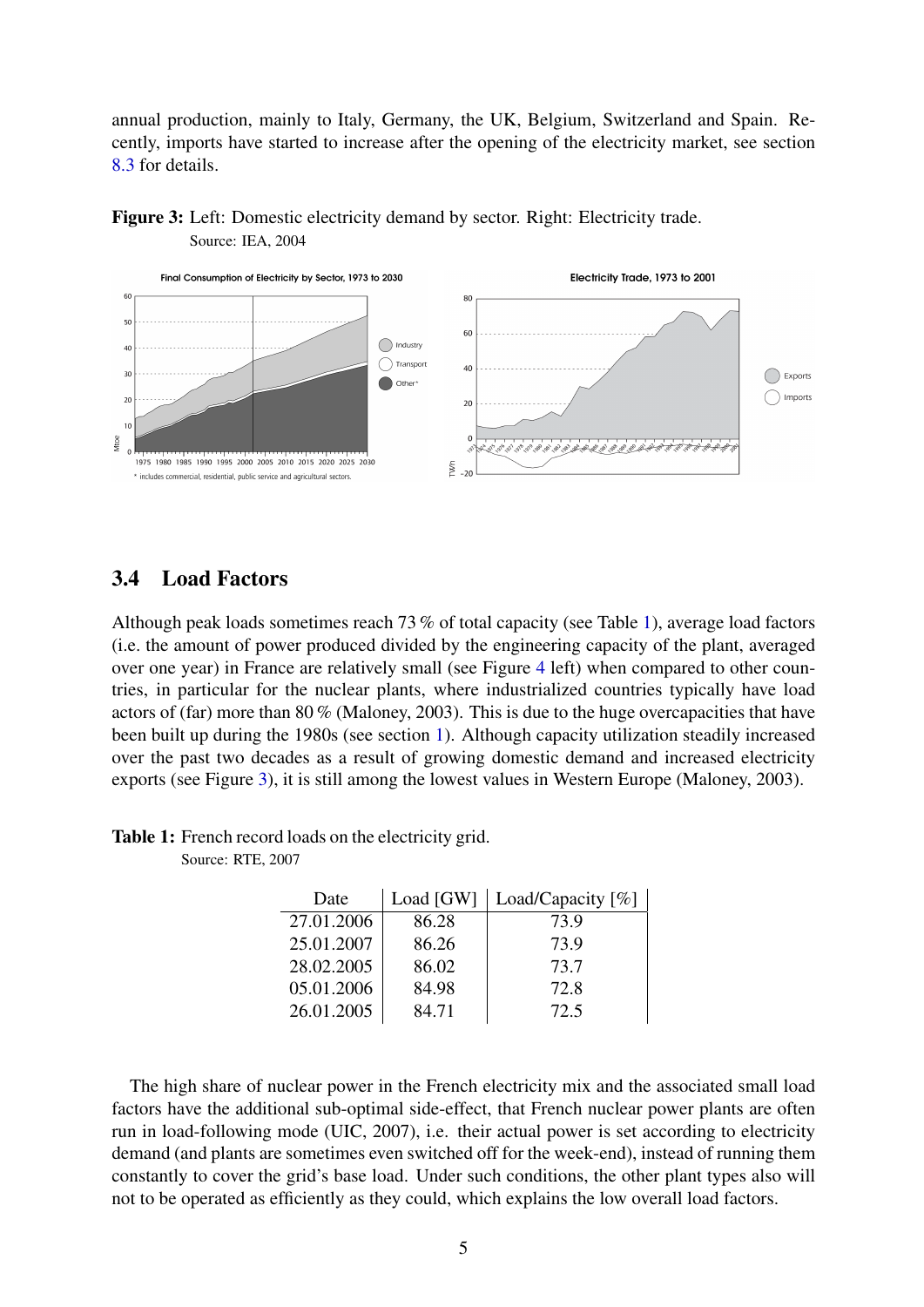annual production, mainly to Italy, Germany, the UK, Belgium, Switzerland and Spain. Recently, imports have started to increase after the opening of the electricity market, see section [8.3](#page-14-0) for details.



<span id="page-4-1"></span>Figure 3: Left: Domestic electricity demand by sector. Right: Electricity trade. Source: IEA, 2004

### <span id="page-4-0"></span>3.4 Load Factors

Although peak loads sometimes reach 73 % of total capacity (see Table [1\)](#page-4-2), average load factors (i.e. the amount of power produced divided by the engineering capacity of the plant, averaged over one year) in France are relatively small (see Figure [4](#page-5-1) left) when compared to other countries, in particular for the nuclear plants, where industrialized countries typically have load actors of (far) more than 80 % (Maloney, 2003). This is due to the huge overcapacities that have been built up during the 1980s (see section [1\)](#page-1-0). Although capacity utilization steadily increased over the past two decades as a result of growing domestic demand and increased electricity exports (see Figure [3\)](#page-4-1), it is still among the lowest values in Western Europe (Maloney, 2003).

| <b>Table 1:</b> French record loads on the electricity grid. |
|--------------------------------------------------------------|
|--------------------------------------------------------------|

<span id="page-4-2"></span>Source: RTE, 2007

| Date       | Load [GW] | Load/Capacity $[\%]$ |
|------------|-----------|----------------------|
| 27.01.2006 | 86.28     | 73.9                 |
| 25.01.2007 | 86.26     | 73.9                 |
| 28.02.2005 | 86.02     | 73.7                 |
| 05.01.2006 | 84.98     | 72.8                 |
| 26.01.2005 | 84.71     | 72.5                 |

The high share of nuclear power in the French electricity mix and the associated small load factors have the additional sub-optimal side-effect, that French nuclear power plants are often run in load-following mode (UIC, 2007), i.e. their actual power is set according to electricity demand (and plants are sometimes even switched off for the week-end), instead of running them constantly to cover the grid's base load. Under such conditions, the other plant types also will not to be operated as efficiently as they could, which explains the low overall load factors.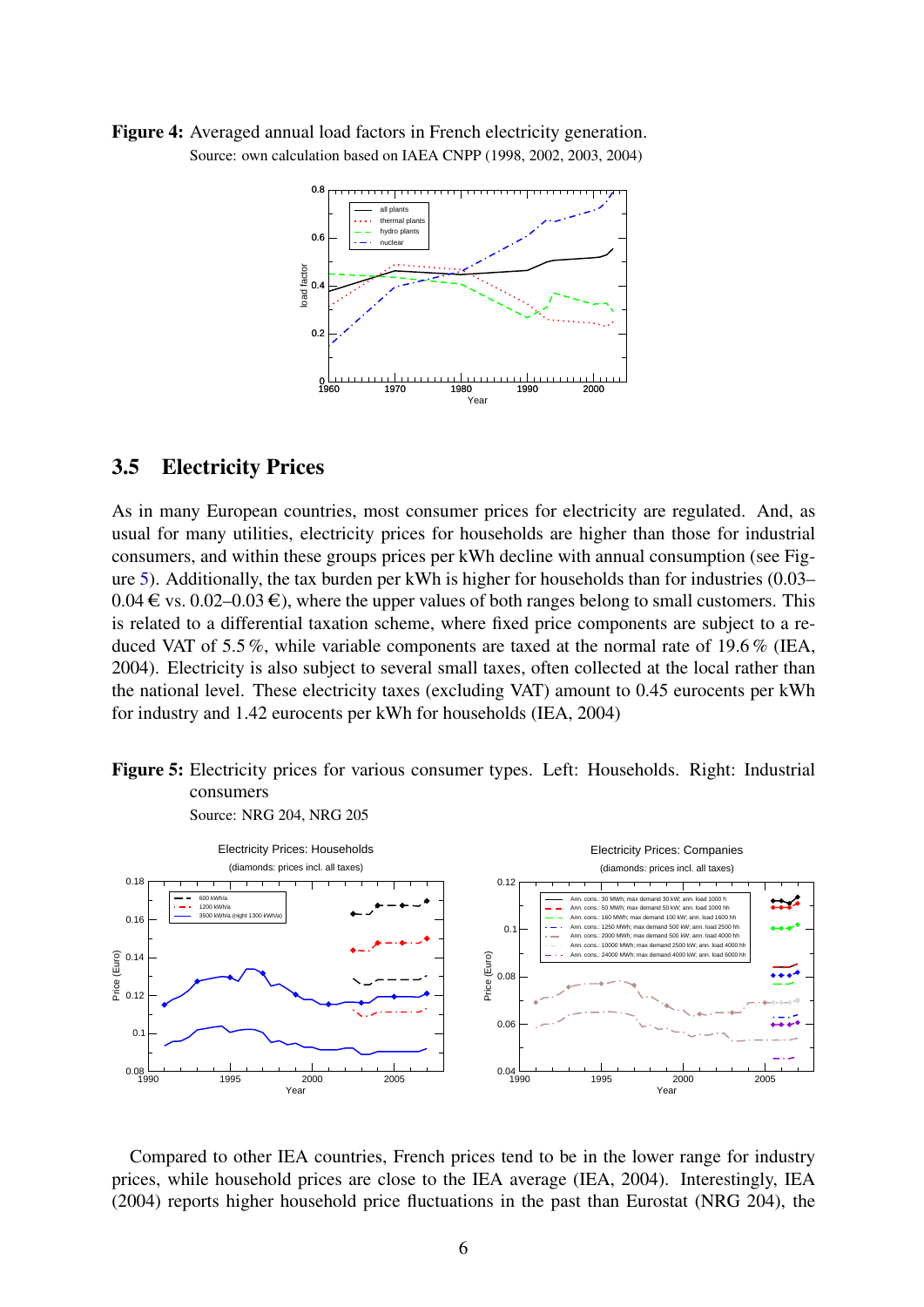<span id="page-5-1"></span>Figure 4: Averaged annual load factors in French electricity generation. Source: own calculation based on IAEA CNPP (1998, 2002, 2003, 2004)



### <span id="page-5-0"></span>3.5 Electricity Prices

As in many European countries, most consumer prices for electricity are regulated. And, as usual for many utilities, electricity prices for households are higher than those for industrial consumers, and within these groups prices per kWh decline with annual consumption (see Figure [5\)](#page-5-2). Additionally, the tax burden per kWh is higher for households than for industries (0.03–  $0.04 \in \text{vs. } 0.02{\text{-}}0.03 \in$ ), where the upper values of both ranges belong to small customers. This is related to a differential taxation scheme, where fixed price components are subject to a reduced VAT of 5.5 %, while variable components are taxed at the normal rate of 19.6 % (IEA, 2004). Electricity is also subject to several small taxes, often collected at the local rather than the national level. These electricity taxes (excluding VAT) amount to 0.45 eurocents per kWh for industry and 1.42 eurocents per kWh for households (IEA, 2004)

<span id="page-5-2"></span>Figure 5: Electricity prices for various consumer types. Left: Households. Right: Industrial consumers Source: NRG 204, NRG 205



Compared to other IEA countries, French prices tend to be in the lower range for industry prices, while household prices are close to the IEA average (IEA, 2004). Interestingly, IEA (2004) reports higher household price fluctuations in the past than Eurostat (NRG 204), the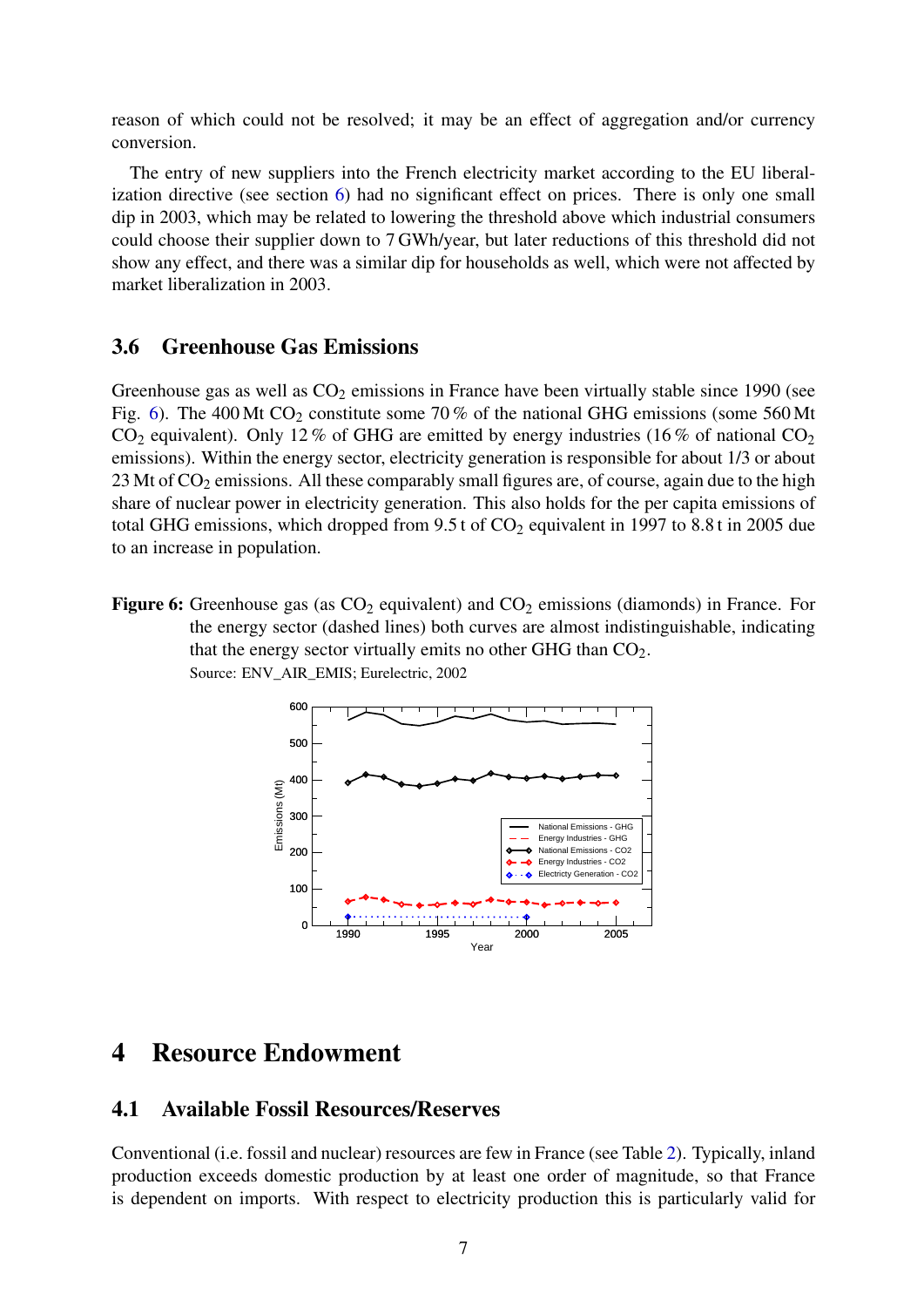reason of which could not be resolved; it may be an effect of aggregation and/or currency conversion.

The entry of new suppliers into the French electricity market according to the EU liberalization directive (see section [6\)](#page-10-0) had no significant effect on prices. There is only one small dip in 2003, which may be related to lowering the threshold above which industrial consumers could choose their supplier down to 7 GWh/year, but later reductions of this threshold did not show any effect, and there was a similar dip for households as well, which were not affected by market liberalization in 2003.

#### <span id="page-6-0"></span>3.6 Greenhouse Gas Emissions

Greenhouse gas as well as  $CO<sub>2</sub>$  emissions in France have been virtually stable since 1990 (see Fig. [6\)](#page-6-3). The 400 Mt  $CO_2$  constitute some 70% of the national GHG emissions (some 560 Mt  $CO<sub>2</sub>$  equivalent). Only 12 % of GHG are emitted by energy industries (16 % of national  $CO<sub>2</sub>$ emissions). Within the energy sector, electricity generation is responsible for about 1/3 or about  $23$  Mt of  $CO<sub>2</sub>$  emissions. All these comparably small figures are, of course, again due to the high share of nuclear power in electricity generation. This also holds for the per capita emissions of total GHG emissions, which dropped from  $9.5$  t of  $CO<sub>2</sub>$  equivalent in 1997 to 8.8 t in 2005 due to an increase in population.

<span id="page-6-3"></span>**Figure 6:** Greenhouse gas (as  $CO<sub>2</sub>$  equivalent) and  $CO<sub>2</sub>$  emissions (diamonds) in France. For the energy sector (dashed lines) both curves are almost indistinguishable, indicating that the energy sector virtually emits no other GHG than  $CO<sub>2</sub>$ . Source: ENV\_AIR\_EMIS; Eurelectric, 2002



# <span id="page-6-1"></span>4 Resource Endowment

#### <span id="page-6-2"></span>4.1 Available Fossil Resources/Reserves

Conventional (i.e. fossil and nuclear) resources are few in France (see Table [2\)](#page-7-1). Typically, inland production exceeds domestic production by at least one order of magnitude, so that France is dependent on imports. With respect to electricity production this is particularly valid for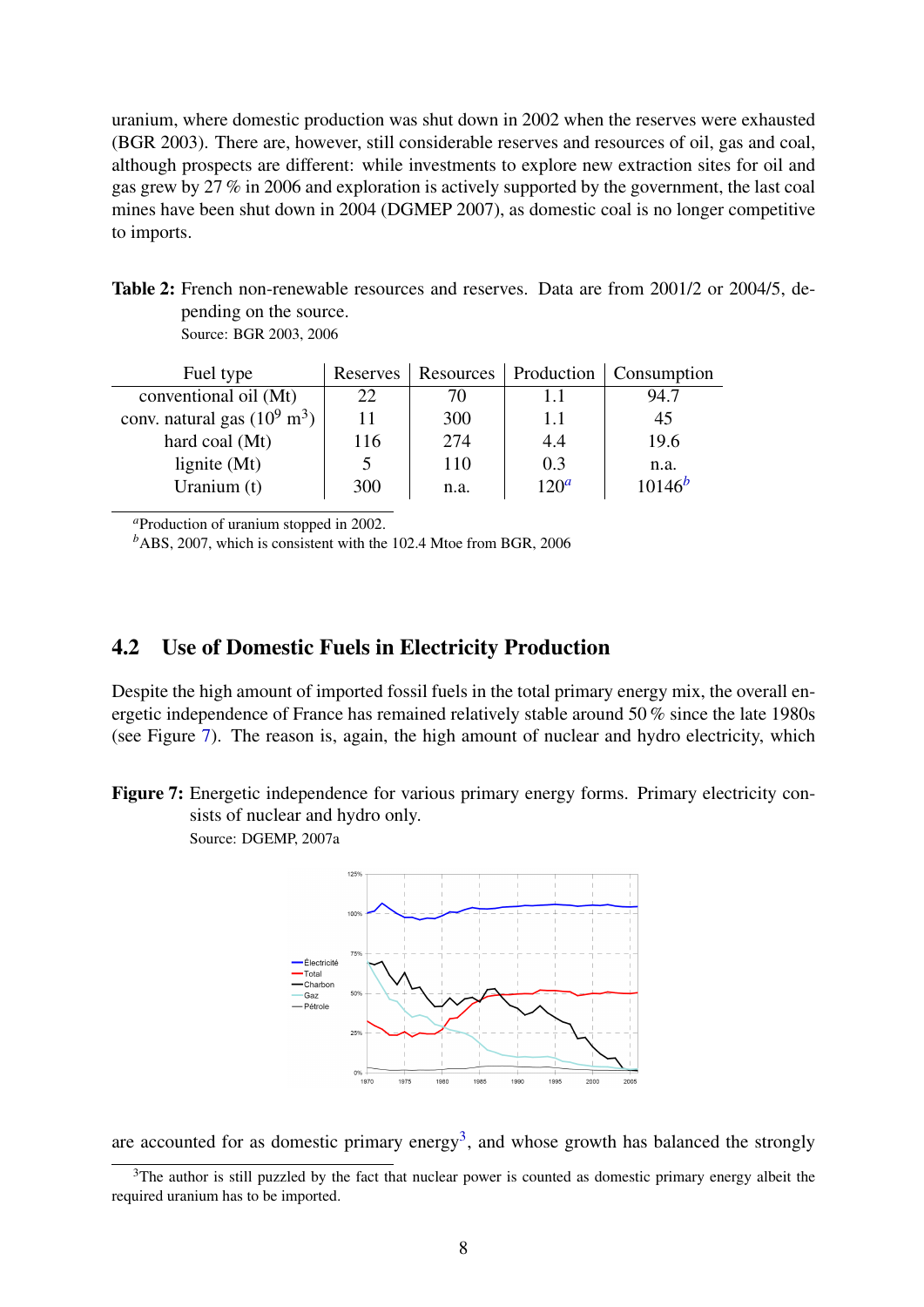uranium, where domestic production was shut down in 2002 when the reserves were exhausted (BGR 2003). There are, however, still considerable reserves and resources of oil, gas and coal, although prospects are different: while investments to explore new extraction sites for oil and gas grew by 27 % in 2006 and exploration is actively supported by the government, the last coal mines have been shut down in 2004 (DGMEP 2007), as domestic coal is no longer competitive to imports.

Table 2: French non-renewable resources and reserves. Data are from 2001/2 or 2004/5, depending on the source.

<span id="page-7-1"></span>Source: BGR 2003, 2006

| Fuel type                              | Reserves |      | Resources   Production | <b>Consumption</b> |
|----------------------------------------|----------|------|------------------------|--------------------|
| conventional oil (Mt)                  | 22       | 70   | 1.1                    | 94.7               |
| conv. natural gas $(10^9 \text{ m}^3)$ |          | 300  | 1.1                    | 45                 |
| hard coal (Mt)                         | 116      | 274  | 4.4                    | 19.6               |
| lignite $(Mt)$                         |          | 110  | 0.3                    | n.a.               |
| Uranium (t)                            | 300      | n.a. | $120^a$                | $10146^{b}$        |

<span id="page-7-2"></span>*<sup>a</sup>*Production of uranium stopped in 2002.

<span id="page-7-3"></span>*<sup>b</sup>*ABS, 2007, which is consistent with the 102.4 Mtoe from BGR, 2006

### <span id="page-7-0"></span>4.2 Use of Domestic Fuels in Electricity Production

Despite the high amount of imported fossil fuels in the total primary energy mix, the overall energetic independence of France has remained relatively stable around 50 % since the late 1980s (see Figure [7\)](#page-7-4). The reason is, again, the high amount of nuclear and hydro electricity, which

Figure 7: Energetic independence for various primary energy forms. Primary electricity consists of nuclear and hydro only.

<span id="page-7-4"></span>Source: DGEMP, 2007a



are accounted for as domestic primary energy<sup>[3](#page-7-5)</sup>, and whose growth has balanced the strongly

<span id="page-7-5"></span><sup>&</sup>lt;sup>3</sup>The author is still puzzled by the fact that nuclear power is counted as domestic primary energy albeit the required uranium has to be imported.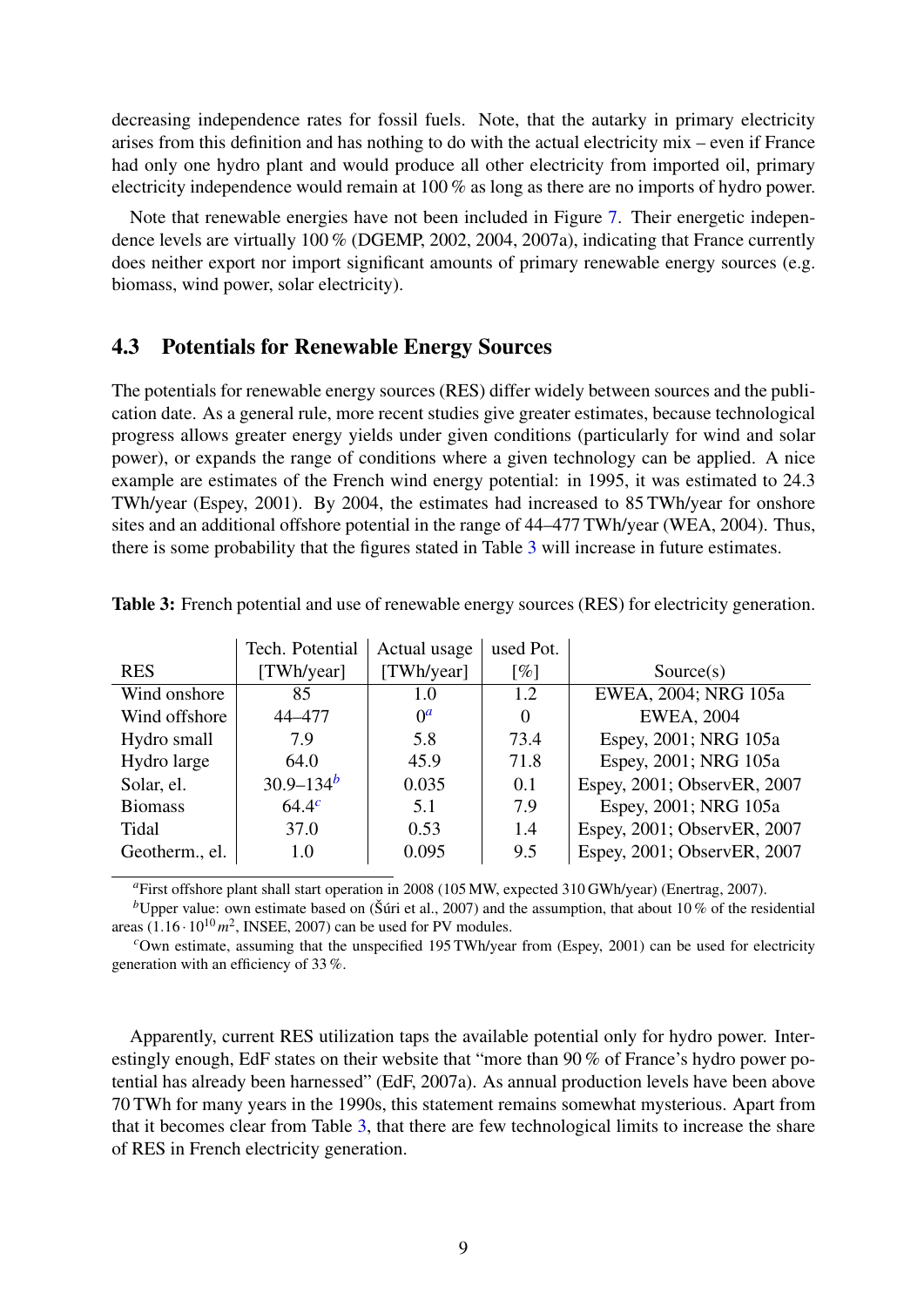decreasing independence rates for fossil fuels. Note, that the autarky in primary electricity arises from this definition and has nothing to do with the actual electricity mix – even if France had only one hydro plant and would produce all other electricity from imported oil, primary electricity independence would remain at 100 % as long as there are no imports of hydro power.

Note that renewable energies have not been included in Figure [7.](#page-7-4) Their energetic independence levels are virtually 100 % (DGEMP, 2002, 2004, 2007a), indicating that France currently does neither export nor import significant amounts of primary renewable energy sources (e.g. biomass, wind power, solar electricity).

### <span id="page-8-0"></span>4.3 Potentials for Renewable Energy Sources

The potentials for renewable energy sources (RES) differ widely between sources and the publication date. As a general rule, more recent studies give greater estimates, because technological progress allows greater energy yields under given conditions (particularly for wind and solar power), or expands the range of conditions where a given technology can be applied. A nice example are estimates of the French wind energy potential: in 1995, it was estimated to 24.3 TWh/year (Espey, 2001). By 2004, the estimates had increased to 85 TWh/year for onshore sites and an additional offshore potential in the range of 44–477 TWh/year (WEA, 2004). Thus, there is some probability that the figures stated in Table [3](#page-8-1) will increase in future estimates.

|                | Tech. Potential | Actual usage | used Pot.          |                             |
|----------------|-----------------|--------------|--------------------|-----------------------------|
| <b>RES</b>     | [TWh/year]      | [TWh/year]   | $\lceil \% \rceil$ | Source(s)                   |
| Wind onshore   | 85              | 1.0          | 1.2                | EWEA, 2004; NRG 105a        |
| Wind offshore  | 44-477          | $0^a$        | $\theta$           | <b>EWEA, 2004</b>           |
| Hydro small    | 7.9             | 5.8          | 73.4               | Espey, 2001; NRG 105a       |
| Hydro large    | 64.0            | 45.9         | 71.8               | Espey, 2001; NRG 105a       |
| Solar, el.     | $30.9 - 134^b$  | 0.035        | 0.1                | Espey, 2001; ObservER, 2007 |
| <b>Biomass</b> | $64.4^{c}$      | 5.1          | 7.9                | Espey, 2001; NRG 105a       |
| Tidal          | 37.0            | 0.53         | 1.4                | Espey, 2001; ObservER, 2007 |
| Geotherm., el. | 1.0             | 0.095        | 9.5                | Espey, 2001; ObservER, 2007 |

<span id="page-8-1"></span>Table 3: French potential and use of renewable energy sources (RES) for electricity generation.

<span id="page-8-3"></span><span id="page-8-2"></span>*<sup>a</sup>*First offshore plant shall start operation in 2008 (105 MW, expected 310 GWh/year) (Enertrag, 2007).

<sup>*b*</sup>Upper value: own estimate based on (Šúri et al., 2007) and the assumption, that about 10 % of the residential areas  $(1.16 \cdot 10^{10} \, m^2)$ , INSEE, 2007) can be used for PV modules.

<span id="page-8-4"></span><sup>*c*</sup>Own estimate, assuming that the unspecified 195 TWh/year from (Espey, 2001) can be used for electricity generation with an efficiency of 33 %.

Apparently, current RES utilization taps the available potential only for hydro power. Interestingly enough, EdF states on their website that "more than 90 % of France's hydro power potential has already been harnessed" (EdF, 2007a). As annual production levels have been above 70 TWh for many years in the 1990s, this statement remains somewhat mysterious. Apart from that it becomes clear from Table [3,](#page-8-1) that there are few technological limits to increase the share of RES in French electricity generation.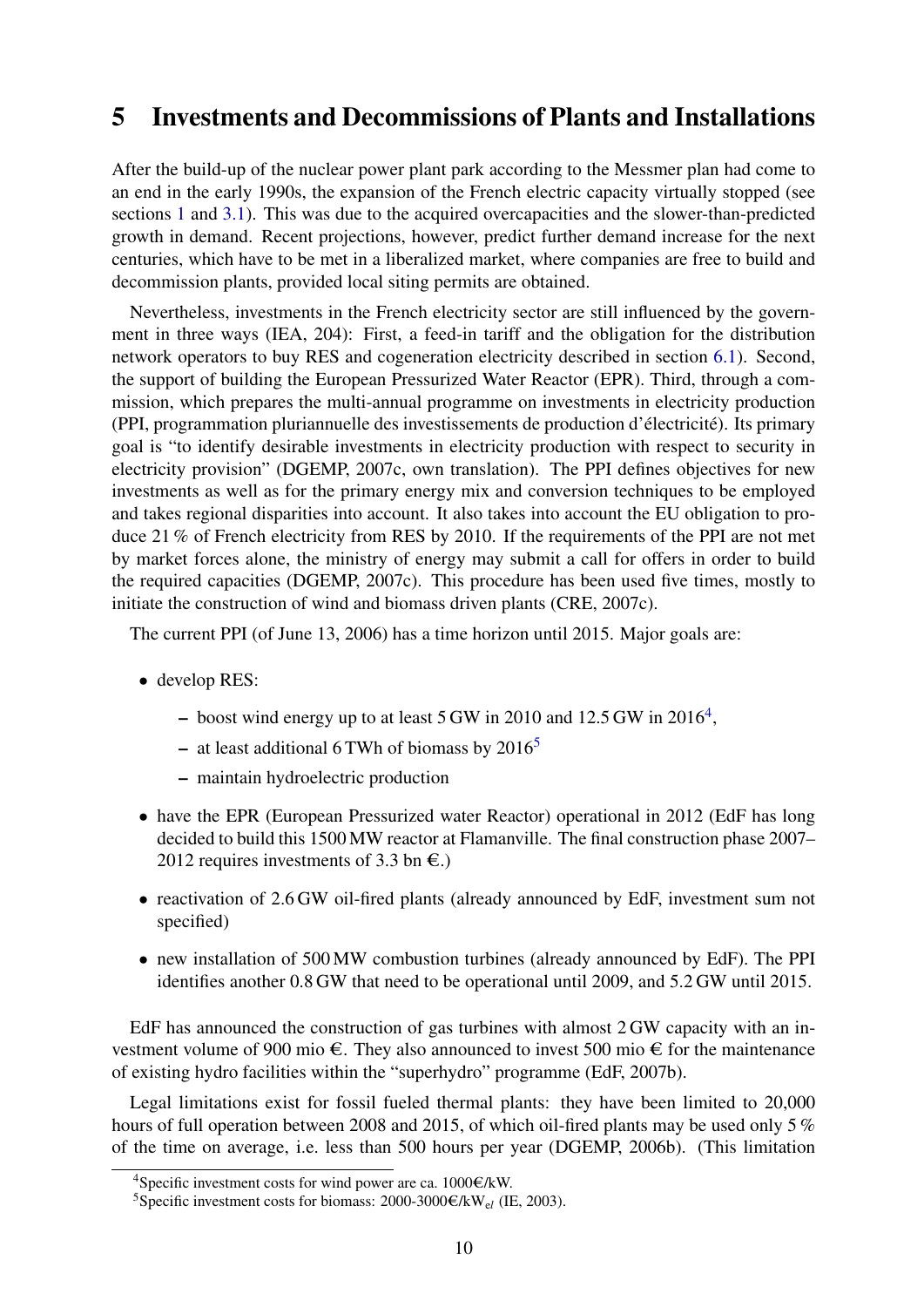# <span id="page-9-0"></span>5 Investments and Decommissions of Plants and Installations

After the build-up of the nuclear power plant park according to the Messmer plan had come to an end in the early 1990s, the expansion of the French electric capacity virtually stopped (see sections [1](#page-1-0) and [3.1\)](#page-2-1). This was due to the acquired overcapacities and the slower-than-predicted growth in demand. Recent projections, however, predict further demand increase for the next centuries, which have to be met in a liberalized market, where companies are free to build and decommission plants, provided local siting permits are obtained.

Nevertheless, investments in the French electricity sector are still influenced by the government in three ways (IEA, 204): First, a feed-in tariff and the obligation for the distribution network operators to buy RES and cogeneration electricity described in section [6.1\)](#page-10-1). Second, the support of building the European Pressurized Water Reactor (EPR). Third, through a commission, which prepares the multi-annual programme on investments in electricity production (PPI, programmation pluriannuelle des investissements de production d'électricité). Its primary goal is "to identify desirable investments in electricity production with respect to security in electricity provision" (DGEMP, 2007c, own translation). The PPI defines objectives for new investments as well as for the primary energy mix and conversion techniques to be employed and takes regional disparities into account. It also takes into account the EU obligation to produce 21 % of French electricity from RES by 2010. If the requirements of the PPI are not met by market forces alone, the ministry of energy may submit a call for offers in order to build the required capacities (DGEMP, 2007c). This procedure has been used five times, mostly to initiate the construction of wind and biomass driven plants (CRE, 2007c).

The current PPI (of June 13, 2006) has a time horizon until 2015. Major goals are:

- develop RES:
	- boost wind energy up to at least  $5$  GW in 2010 and 12.5 GW in 2016<sup>[4](#page-9-1)</sup>,
	- at least additional 6 TWh of biomass by  $2016<sup>5</sup>$  $2016<sup>5</sup>$  $2016<sup>5</sup>$
	- maintain hydroelectric production
- have the EPR (European Pressurized water Reactor) operational in 2012 (EdF has long decided to build this 1500 MW reactor at Flamanville. The final construction phase 2007– 2012 requires investments of 3.3 bn  $\epsilon$ .)
- reactivation of 2.6 GW oil-fired plants (already announced by EdF, investment sum not specified)
- new installation of 500 MW combustion turbines (already announced by EdF). The PPI identifies another 0.8 GW that need to be operational until 2009, and 5.2 GW until 2015.

EdF has announced the construction of gas turbines with almost  $2$  GW capacity with an investment volume of 900 mio  $\epsilon$ . They also announced to invest 500 mio  $\epsilon$  for the maintenance of existing hydro facilities within the "superhydro" programme (EdF, 2007b).

Legal limitations exist for fossil fueled thermal plants: they have been limited to 20,000 hours of full operation between 2008 and 2015, of which oil-fired plants may be used only 5 % of the time on average, i.e. less than 500 hours per year (DGEMP, 2006b). (This limitation

<span id="page-9-1"></span><sup>&</sup>lt;sup>4</sup>Specific investment costs for wind power are ca. 1000 $\epsilon$ /kW.

<span id="page-9-2"></span><sup>&</sup>lt;sup>5</sup>Specific investment costs for biomass: 2000-3000 $\epsilon$ /kW<sub>el</sub> (IE, 2003).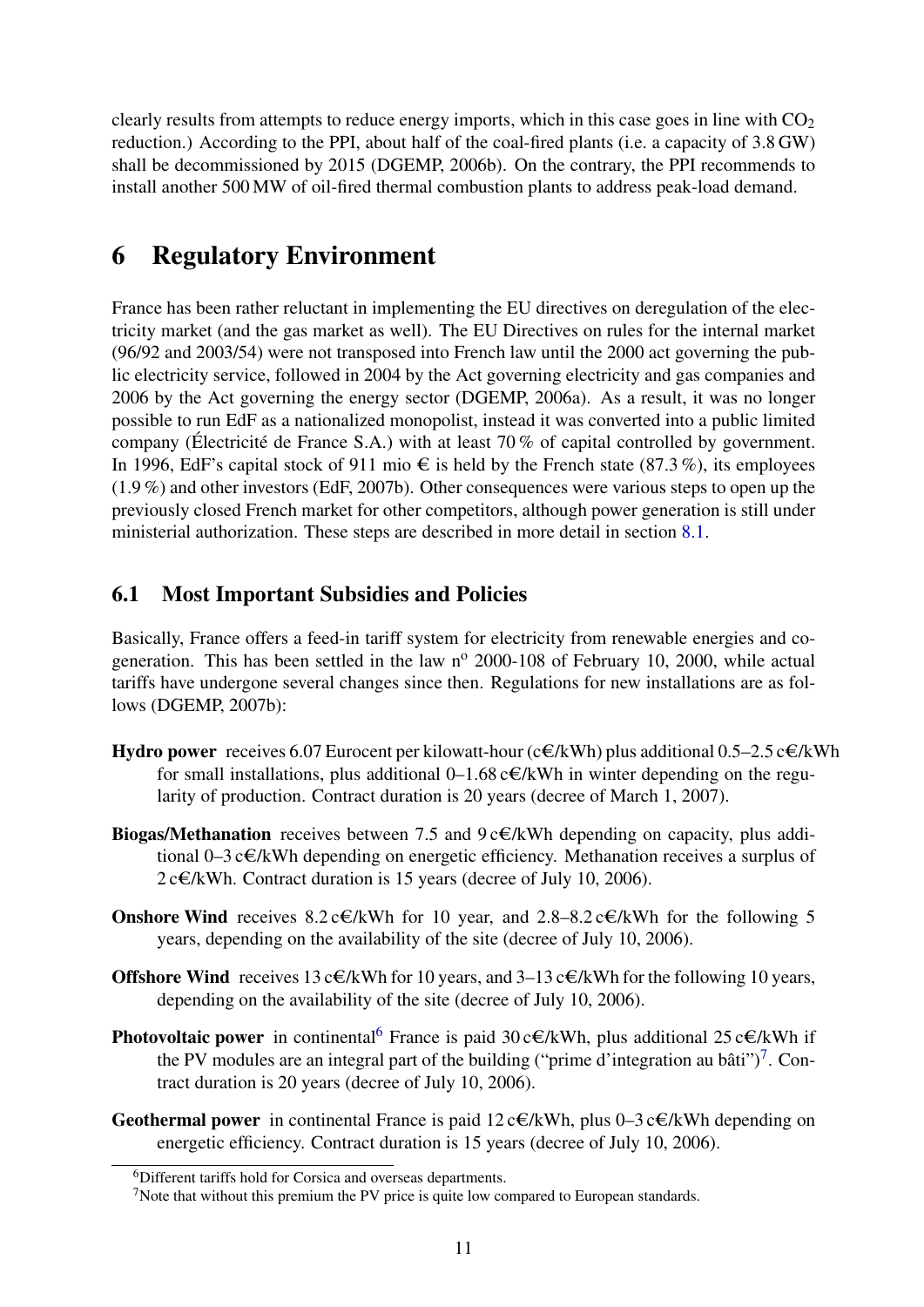clearly results from attempts to reduce energy imports, which in this case goes in line with  $CO<sub>2</sub>$ reduction.) According to the PPI, about half of the coal-fired plants (i.e. a capacity of 3.8 GW) shall be decommissioned by 2015 (DGEMP, 2006b). On the contrary, the PPI recommends to install another 500 MW of oil-fired thermal combustion plants to address peak-load demand.

# <span id="page-10-0"></span>6 Regulatory Environment

France has been rather reluctant in implementing the EU directives on deregulation of the electricity market (and the gas market as well). The EU Directives on rules for the internal market (96/92 and 2003/54) were not transposed into French law until the 2000 act governing the public electricity service, followed in 2004 by the Act governing electricity and gas companies and 2006 by the Act governing the energy sector (DGEMP, 2006a). As a result, it was no longer possible to run EdF as a nationalized monopolist, instead it was converted into a public limited company (Électricité de France S.A.) with at least 70 % of capital controlled by government. In 1996, EdF's capital stock of 911 mio  $\epsilon$  is held by the French state (87.3%), its employees (1.9 %) and other investors (EdF, 2007b). Other consequences were various steps to open up the previously closed French market for other competitors, although power generation is still under ministerial authorization. These steps are described in more detail in section [8.1.](#page-12-0)

### <span id="page-10-1"></span>6.1 Most Important Subsidies and Policies

Basically, France offers a feed-in tariff system for electricity from renewable energies and cogeneration. This has been settled in the law  $n^{\circ}$  2000-108 of February 10, 2000, while actual tariffs have undergone several changes since then. Regulations for new installations are as follows (DGEMP, 2007b):

- Hydro power receives 6.07 Eurocent per kilowatt-hour (c $\epsilon/kWh$ ) plus additional 0.5–2.5 c $\epsilon/kWh$ for small installations, plus additional 0–1.68 c $\epsilon/kWh$  in winter depending on the regularity of production. Contract duration is 20 years (decree of March 1, 2007).
- **Biogas/Methanation** receives between 7.5 and  $9c\epsilon/kWh$  depending on capacity, plus additional 0–3 c $\epsilon/kWh$  depending on energetic efficiency. Methanation receives a surplus of  $2 c \in KWh$ . Contract duration is 15 years (decree of July 10, 2006).
- Onshore Wind receives  $8.2 c \in KWh$  for 10 year, and  $2.8-8.2 c \in KWh$  for the following 5 years, depending on the availability of the site (decree of July 10, 2006).
- Offshore Wind receives 13 c $\epsilon/kWh$  for 10 years, and 3–13 c $\epsilon/kWh$  for the following 10 years, depending on the availability of the site (decree of July 10, 2006).
- **Photovoltaic power** in continental<sup>[6](#page-10-2)</sup> France is paid  $30 \text{ c} \in \ell$  KWh, plus additional 25 c $\in \ell$  KWh if the PV modules are an integral part of the building ("prime d'integration au bâti")<sup>[7](#page-10-3)</sup>. Contract duration is 20 years (decree of July 10, 2006).
- **Geothermal power** in continental France is paid  $12 \text{ c} \in \text{/kWh}$ , plus 0–3  $\text{c} \in \text{/kWh}$  depending on energetic efficiency. Contract duration is 15 years (decree of July 10, 2006).

<span id="page-10-2"></span><sup>6</sup>Different tariffs hold for Corsica and overseas departments.

<span id="page-10-3"></span><sup>&</sup>lt;sup>7</sup>Note that without this premium the PV price is quite low compared to European standards.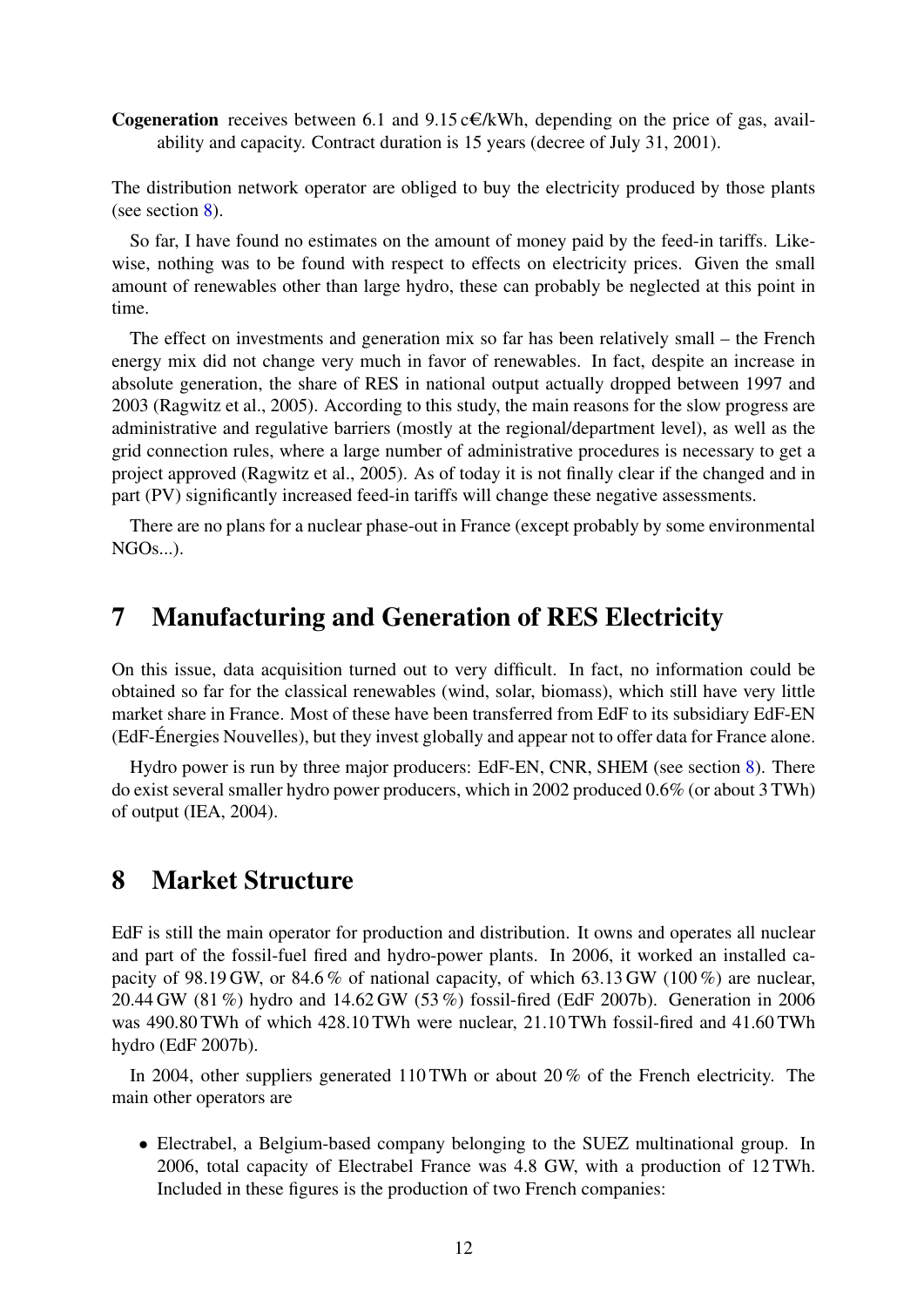**Cogeneration** receives between 6.1 and 9.15 c $\epsilon/kWh$ , depending on the price of gas, availability and capacity. Contract duration is 15 years (decree of July 31, 2001).

The distribution network operator are obliged to buy the electricity produced by those plants (see section [8\)](#page-11-1).

So far, I have found no estimates on the amount of money paid by the feed-in tariffs. Likewise, nothing was to be found with respect to effects on electricity prices. Given the small amount of renewables other than large hydro, these can probably be neglected at this point in time.

The effect on investments and generation mix so far has been relatively small – the French energy mix did not change very much in favor of renewables. In fact, despite an increase in absolute generation, the share of RES in national output actually dropped between 1997 and 2003 (Ragwitz et al., 2005). According to this study, the main reasons for the slow progress are administrative and regulative barriers (mostly at the regional/department level), as well as the grid connection rules, where a large number of administrative procedures is necessary to get a project approved (Ragwitz et al., 2005). As of today it is not finally clear if the changed and in part (PV) significantly increased feed-in tariffs will change these negative assessments.

There are no plans for a nuclear phase-out in France (except probably by some environmental  $NGOs...$ ).

## <span id="page-11-0"></span>7 Manufacturing and Generation of RES Electricity

On this issue, data acquisition turned out to very difficult. In fact, no information could be obtained so far for the classical renewables (wind, solar, biomass), which still have very little market share in France. Most of these have been transferred from EdF to its subsidiary EdF-EN (EdF-Énergies Nouvelles), but they invest globally and appear not to offer data for France alone.

Hydro power is run by three major producers: EdF-EN, CNR, SHEM (see section [8\)](#page-11-1). There do exist several smaller hydro power producers, which in 2002 produced 0.6% (or about 3 TWh) of output (IEA, 2004).

# <span id="page-11-1"></span>8 Market Structure

EdF is still the main operator for production and distribution. It owns and operates all nuclear and part of the fossil-fuel fired and hydro-power plants. In 2006, it worked an installed capacity of 98.19 GW, or 84.6 % of national capacity, of which 63.13 GW (100 %) are nuclear, 20.44 GW (81 %) hydro and 14.62 GW (53 %) fossil-fired (EdF 2007b). Generation in 2006 was 490.80 TWh of which 428.10 TWh were nuclear, 21.10 TWh fossil-fired and 41.60 TWh hydro (EdF 2007b).

In 2004, other suppliers generated 110 TWh or about 20 % of the French electricity. The main other operators are

• Electrabel, a Belgium-based company belonging to the SUEZ multinational group. In 2006, total capacity of Electrabel France was 4.8 GW, with a production of 12 TWh. Included in these figures is the production of two French companies: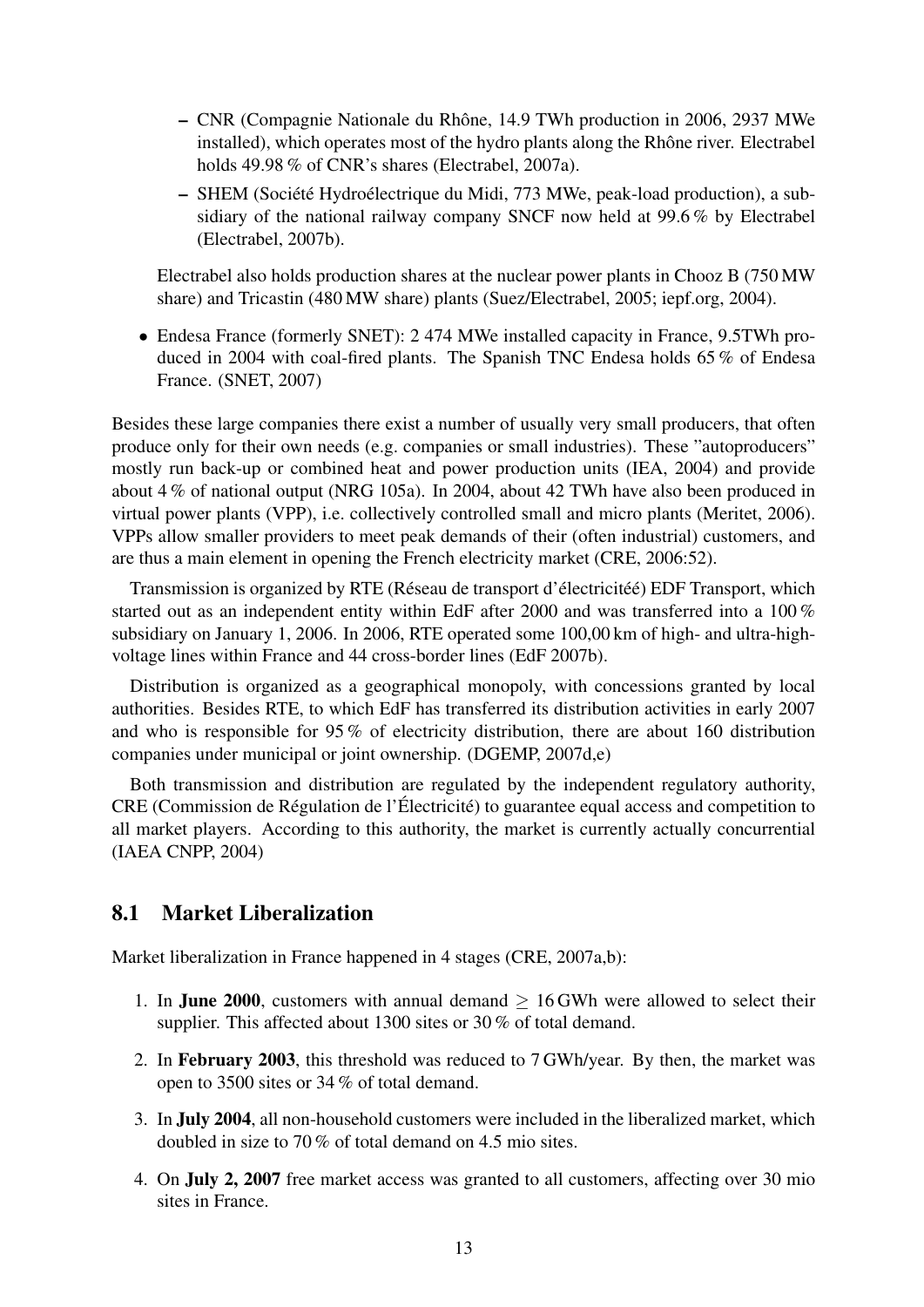- CNR (Compagnie Nationale du Rhône, 14.9 TWh production in 2006, 2937 MWe installed), which operates most of the hydro plants along the Rhône river. Electrabel holds 49.98 % of CNR's shares (Electrabel, 2007a).
- SHEM (Société Hydroélectrique du Midi, 773 MWe, peak-load production), a subsidiary of the national railway company SNCF now held at 99.6 % by Electrabel (Electrabel, 2007b).

Electrabel also holds production shares at the nuclear power plants in Chooz B (750 MW share) and Tricastin (480 MW share) plants (Suez/Electrabel, 2005; iepf.org, 2004).

• Endesa France (formerly SNET): 2 474 MWe installed capacity in France, 9.5TWh produced in 2004 with coal-fired plants. The Spanish TNC Endesa holds 65 % of Endesa France. (SNET, 2007)

Besides these large companies there exist a number of usually very small producers, that often produce only for their own needs (e.g. companies or small industries). These "autoproducers" mostly run back-up or combined heat and power production units (IEA, 2004) and provide about 4 % of national output (NRG 105a). In 2004, about 42 TWh have also been produced in virtual power plants (VPP), i.e. collectively controlled small and micro plants (Meritet, 2006). VPPs allow smaller providers to meet peak demands of their (often industrial) customers, and are thus a main element in opening the French electricity market (CRE, 2006:52).

Transmission is organized by RTE (Réseau de transport d'électricitéé) EDF Transport, which started out as an independent entity within EdF after 2000 and was transferred into a 100 % subsidiary on January 1, 2006. In 2006, RTE operated some 100,00 km of high- and ultra-highvoltage lines within France and 44 cross-border lines (EdF 2007b).

Distribution is organized as a geographical monopoly, with concessions granted by local authorities. Besides RTE, to which EdF has transferred its distribution activities in early 2007 and who is responsible for 95 % of electricity distribution, there are about 160 distribution companies under municipal or joint ownership. (DGEMP, 2007d,e)

Both transmission and distribution are regulated by the independent regulatory authority, CRE (Commission de Régulation de l'Électricité) to guarantee equal access and competition to all market players. According to this authority, the market is currently actually concurrential (IAEA CNPP, 2004)

### <span id="page-12-0"></span>8.1 Market Liberalization

Market liberalization in France happened in 4 stages (CRE, 2007a,b):

- 1. In **June 2000**, customers with annual demand  $> 16$  GWh were allowed to select their supplier. This affected about 1300 sites or 30 % of total demand.
- 2. In February 2003, this threshold was reduced to 7 GWh/year. By then, the market was open to 3500 sites or 34 % of total demand.
- 3. In July 2004, all non-household customers were included in the liberalized market, which doubled in size to 70 % of total demand on 4.5 mio sites.
- 4. On July 2, 2007 free market access was granted to all customers, affecting over 30 mio sites in France.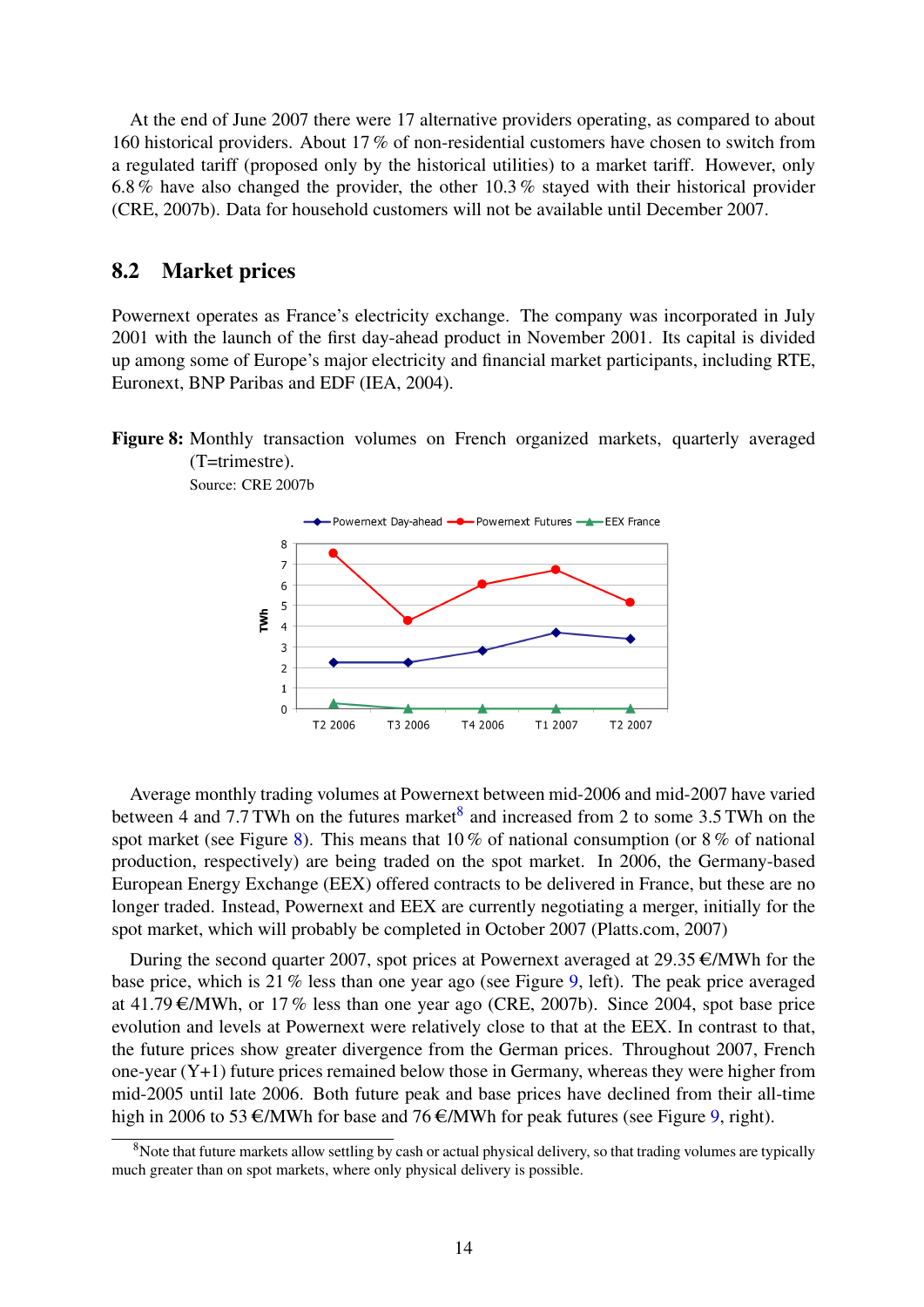At the end of June 2007 there were 17 alternative providers operating, as compared to about 160 historical providers. About 17 % of non-residential customers have chosen to switch from a regulated tariff (proposed only by the historical utilities) to a market tariff. However, only 6.8 % have also changed the provider, the other 10.3 % stayed with their historical provider (CRE, 2007b). Data for household customers will not be available until December 2007.

### <span id="page-13-0"></span>8.2 Market prices

<span id="page-13-2"></span>Source: CRE 2007b

Powernext operates as France's electricity exchange. The company was incorporated in July 2001 with the launch of the first day-ahead product in November 2001. Its capital is divided up among some of Europe's major electricity and financial market participants, including RTE, Euronext, BNP Paribas and EDF (IEA, 2004).

Figure 8: Monthly transaction volumes on French organized markets, quarterly averaged (T=trimestre).



Average monthly trading volumes at Powernext between mid-2006 and mid-2007 have varied between 4 and 7.7 TWh on the futures market<sup>[8](#page-13-1)</sup> and increased from 2 to some 3.5 TWh on the spot market (see Figure [8\)](#page-13-2). This means that 10 % of national consumption (or 8 % of national production, respectively) are being traded on the spot market. In 2006, the Germany-based European Energy Exchange (EEX) offered contracts to be delivered in France, but these are no longer traded. Instead, Powernext and EEX are currently negotiating a merger, initially for the

spot market, which will probably be completed in October 2007 (Platts.com, 2007)

During the second quarter 2007, spot prices at Powernext averaged at  $29.35 \in$ /MWh for the base price, which is 21 % less than one year ago (see Figure [9,](#page-14-1) left). The peak price averaged at 41.79  $\epsilon$ /MWh, or 17% less than one year ago (CRE, 2007b). Since 2004, spot base price evolution and levels at Powernext were relatively close to that at the EEX. In contrast to that, the future prices show greater divergence from the German prices. Throughout 2007, French one-year (Y+1) future prices remained below those in Germany, whereas they were higher from mid-2005 until late 2006. Both future peak and base prices have declined from their all-time high in 2006 to 53  $\epsilon$ /MWh for base and 76  $\epsilon$ /MWh for peak futures (see Figure [9,](#page-14-1) right).

<span id="page-13-1"></span><sup>&</sup>lt;sup>8</sup>Note that future markets allow settling by cash or actual physical delivery, so that trading volumes are typically much greater than on spot markets, where only physical delivery is possible.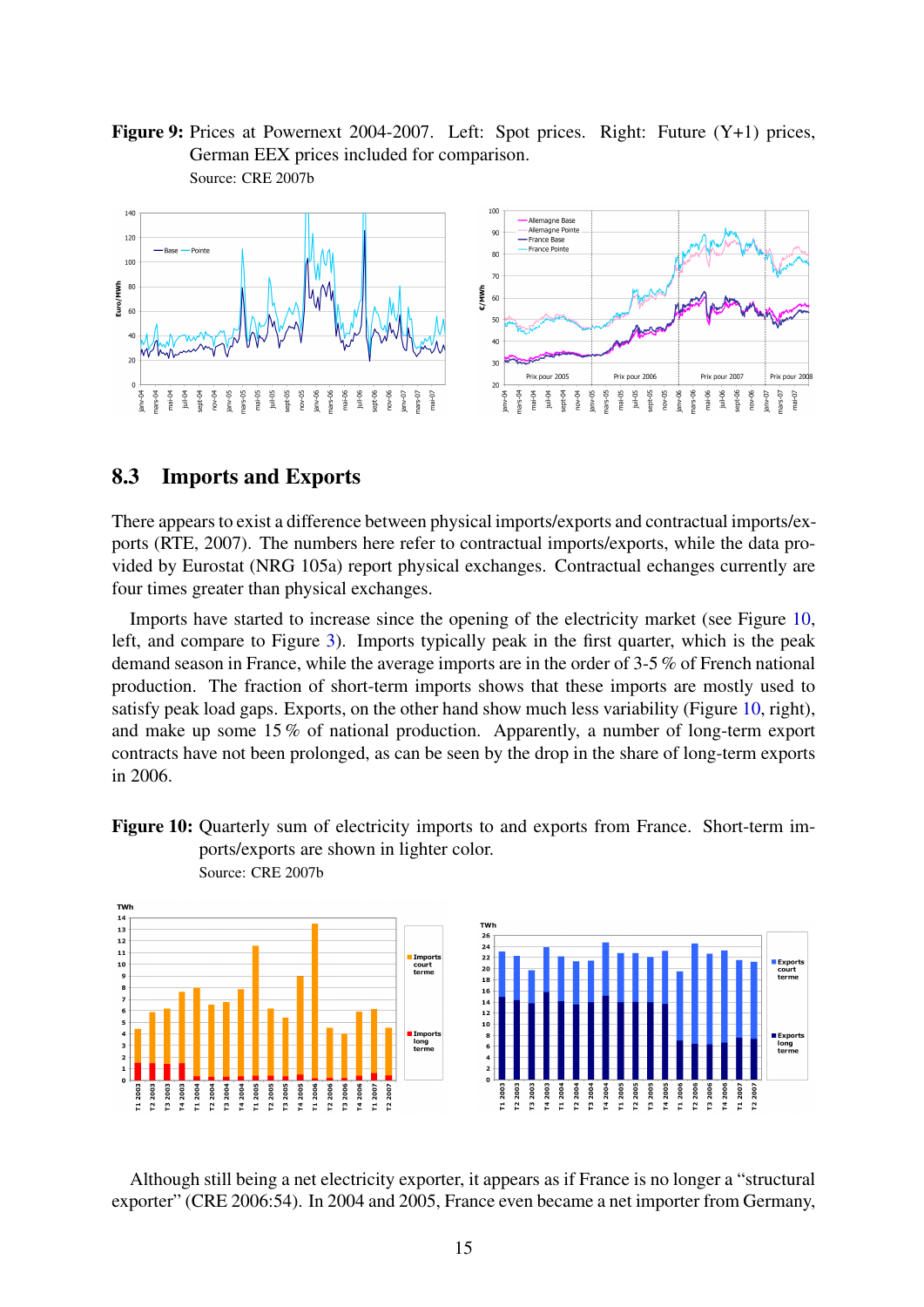<span id="page-14-1"></span>Figure 9: Prices at Powernext 2004-2007. Left: Spot prices. Right: Future (Y+1) prices, German EEX prices included for comparison. Source: CRE 2007b



#### <span id="page-14-0"></span>8.3 Imports and Exports

There appears to exist a difference between physical imports/exports and contractual imports/exports (RTE, 2007). The numbers here refer to contractual imports/exports, while the data provided by Eurostat (NRG 105a) report physical exchanges. Contractual echanges currently are four times greater than physical exchanges.

Imports have started to increase since the opening of the electricity market (see Figure [10,](#page-14-2) left, and compare to Figure [3\)](#page-4-1). Imports typically peak in the first quarter, which is the peak demand season in France, while the average imports are in the order of 3-5 % of French national production. The fraction of short-term imports shows that these imports are mostly used to satisfy peak load gaps. Exports, on the other hand show much less variability (Figure [10,](#page-14-2) right), and make up some 15 % of national production. Apparently, a number of long-term export contracts have not been prolonged, as can be seen by the drop in the share of long-term exports in 2006.

<span id="page-14-2"></span>



Although still being a net electricity exporter, it appears as if France is no longer a "structural exporter" (CRE 2006:54). In 2004 and 2005, France even became a net importer from Germany,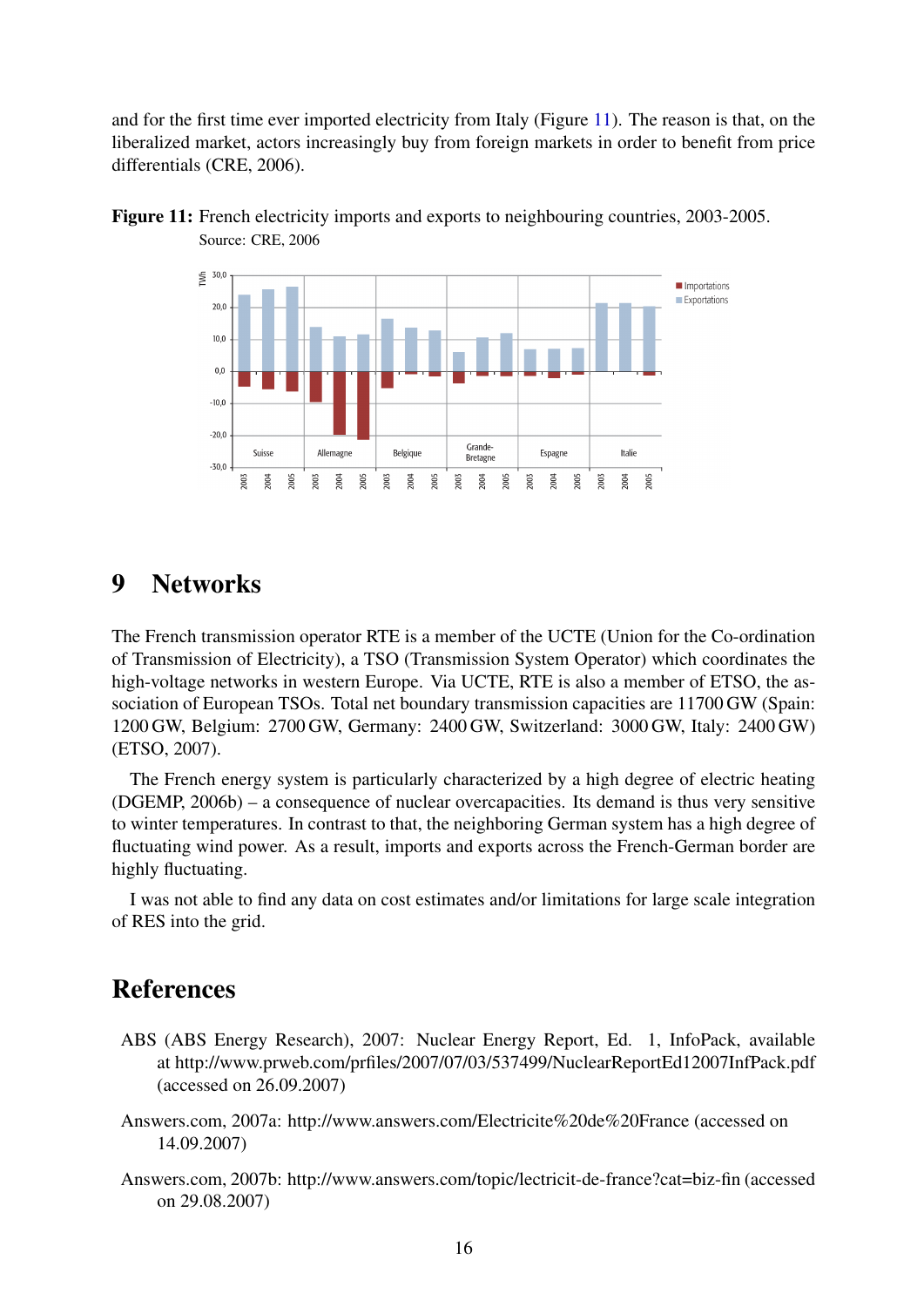and for the first time ever imported electricity from Italy (Figure [11\)](#page-15-1). The reason is that, on the liberalized market, actors increasingly buy from foreign markets in order to benefit from price differentials (CRE, 2006).

<span id="page-15-1"></span>



# <span id="page-15-0"></span>9 Networks

The French transmission operator RTE is a member of the UCTE (Union for the Co-ordination of Transmission of Electricity), a TSO (Transmission System Operator) which coordinates the high-voltage networks in western Europe. Via UCTE, RTE is also a member of ETSO, the association of European TSOs. Total net boundary transmission capacities are 11700 GW (Spain: 1200 GW, Belgium: 2700 GW, Germany: 2400 GW, Switzerland: 3000 GW, Italy: 2400 GW) (ETSO, 2007).

The French energy system is particularly characterized by a high degree of electric heating (DGEMP, 2006b) – a consequence of nuclear overcapacities. Its demand is thus very sensitive to winter temperatures. In contrast to that, the neighboring German system has a high degree of fluctuating wind power. As a result, imports and exports across the French-German border are highly fluctuating.

I was not able to find any data on cost estimates and/or limitations for large scale integration of RES into the grid.

# References

- ABS (ABS Energy Research), 2007: Nuclear Energy Report, Ed. 1, InfoPack, available at http://www.prweb.com/prfiles/2007/07/03/537499/NuclearReportEd12007InfPack.pdf (accessed on 26.09.2007)
- Answers.com, 2007a: http://www.answers.com/Electricite%20de%20France (accessed on 14.09.2007)
- Answers.com, 2007b: http://www.answers.com/topic/lectricit-de-france?cat=biz-fin (accessed on 29.08.2007)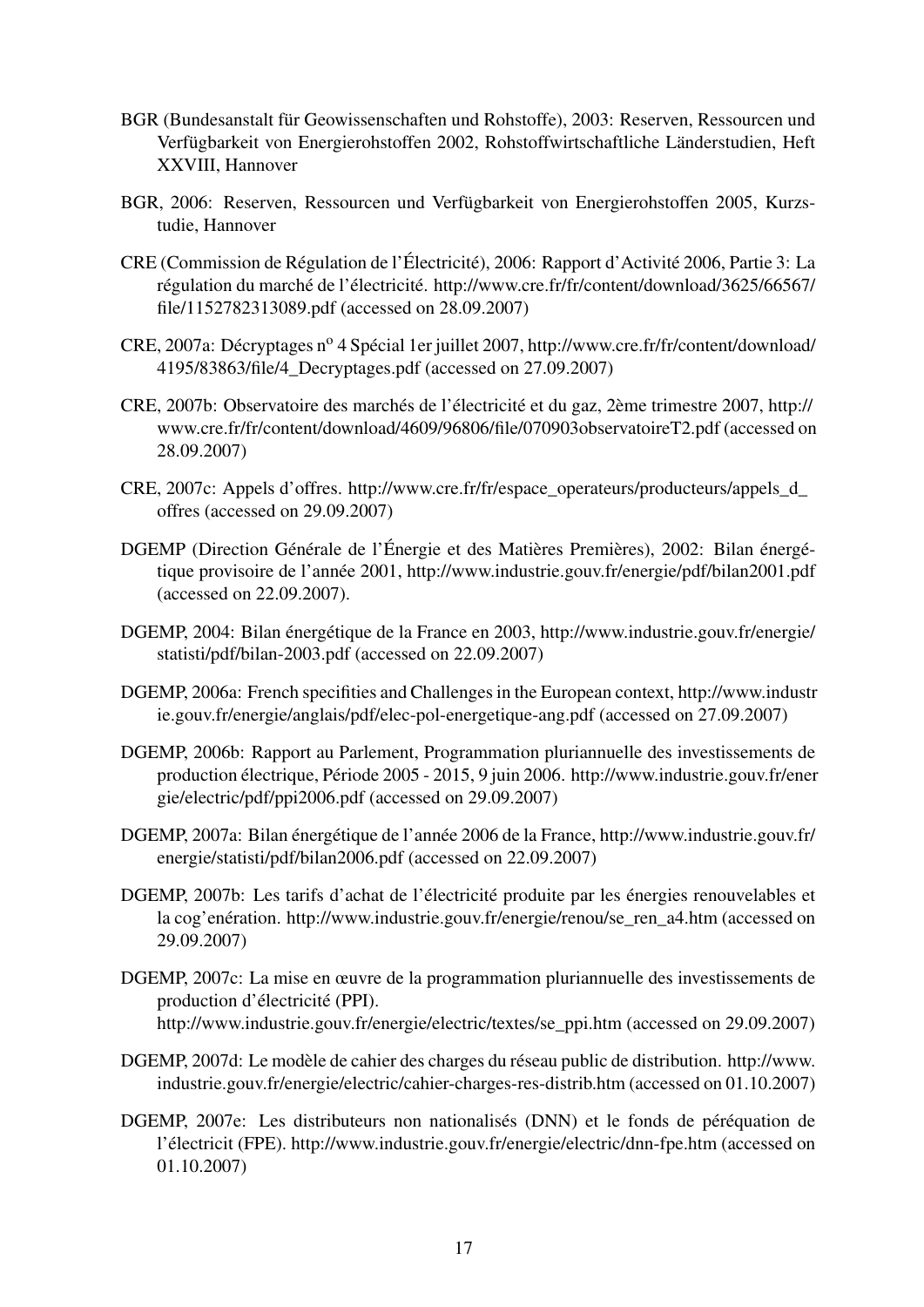- BGR (Bundesanstalt für Geowissenschaften und Rohstoffe), 2003: Reserven, Ressourcen und Verfügbarkeit von Energierohstoffen 2002, Rohstoffwirtschaftliche Länderstudien, Heft XXVIII, Hannover
- BGR, 2006: Reserven, Ressourcen und Verfügbarkeit von Energierohstoffen 2005, Kurzstudie, Hannover
- CRE (Commission de Régulation de l'Électricité), 2006: Rapport d'Activité 2006, Partie 3: La régulation du marché de l'électricité. http://www.cre.fr/fr/content/download/3625/66567/ file/1152782313089.pdf (accessed on 28.09.2007)
- CRE, 2007a: Décryptages n<sup>o</sup> 4 Spécial 1er juillet 2007, http://www.cre.fr/fr/content/download/ 4195/83863/file/4\_Decryptages.pdf (accessed on 27.09.2007)
- CRE, 2007b: Observatoire des marchés de l'électricité et du gaz, 2ème trimestre 2007, http:// www.cre.fr/fr/content/download/4609/96806/file/070903observatoireT2.pdf (accessed on 28.09.2007)
- CRE, 2007c: Appels d'offres. http://www.cre.fr/fr/espace\_operateurs/producteurs/appels\_d\_ offres (accessed on 29.09.2007)
- DGEMP (Direction Générale de l'Énergie et des Matières Premières), 2002: Bilan énergétique provisoire de l'année 2001, http://www.industrie.gouv.fr/energie/pdf/bilan2001.pdf (accessed on 22.09.2007).
- DGEMP, 2004: Bilan énergétique de la France en 2003, http://www.industrie.gouv.fr/energie/ statisti/pdf/bilan-2003.pdf (accessed on 22.09.2007)
- DGEMP, 2006a: French specifities and Challenges in the European context, http://www.industr ie.gouv.fr/energie/anglais/pdf/elec-pol-energetique-ang.pdf (accessed on 27.09.2007)
- DGEMP, 2006b: Rapport au Parlement, Programmation pluriannuelle des investissements de production électrique, Période 2005 - 2015, 9 juin 2006. http://www.industrie.gouv.fr/ener gie/electric/pdf/ppi2006.pdf (accessed on 29.09.2007)
- DGEMP, 2007a: Bilan énergétique de l'année 2006 de la France, http://www.industrie.gouv.fr/ energie/statisti/pdf/bilan2006.pdf (accessed on 22.09.2007)
- DGEMP, 2007b: Les tarifs d'achat de l'électricité produite par les énergies renouvelables et la cog'enération. http://www.industrie.gouv.fr/energie/renou/se\_ren\_a4.htm (accessed on 29.09.2007)
- DGEMP, 2007c: La mise en œuvre de la programmation pluriannuelle des investissements de production d'électricité (PPI). http://www.industrie.gouv.fr/energie/electric/textes/se\_ppi.htm (accessed on 29.09.2007)
- DGEMP, 2007d: Le modèle de cahier des charges du réseau public de distribution. http://www. industrie.gouv.fr/energie/electric/cahier-charges-res-distrib.htm (accessed on 01.10.2007)
- DGEMP, 2007e: Les distributeurs non nationalisés (DNN) et le fonds de péréquation de l'électricit (FPE). http://www.industrie.gouv.fr/energie/electric/dnn-fpe.htm (accessed on 01.10.2007)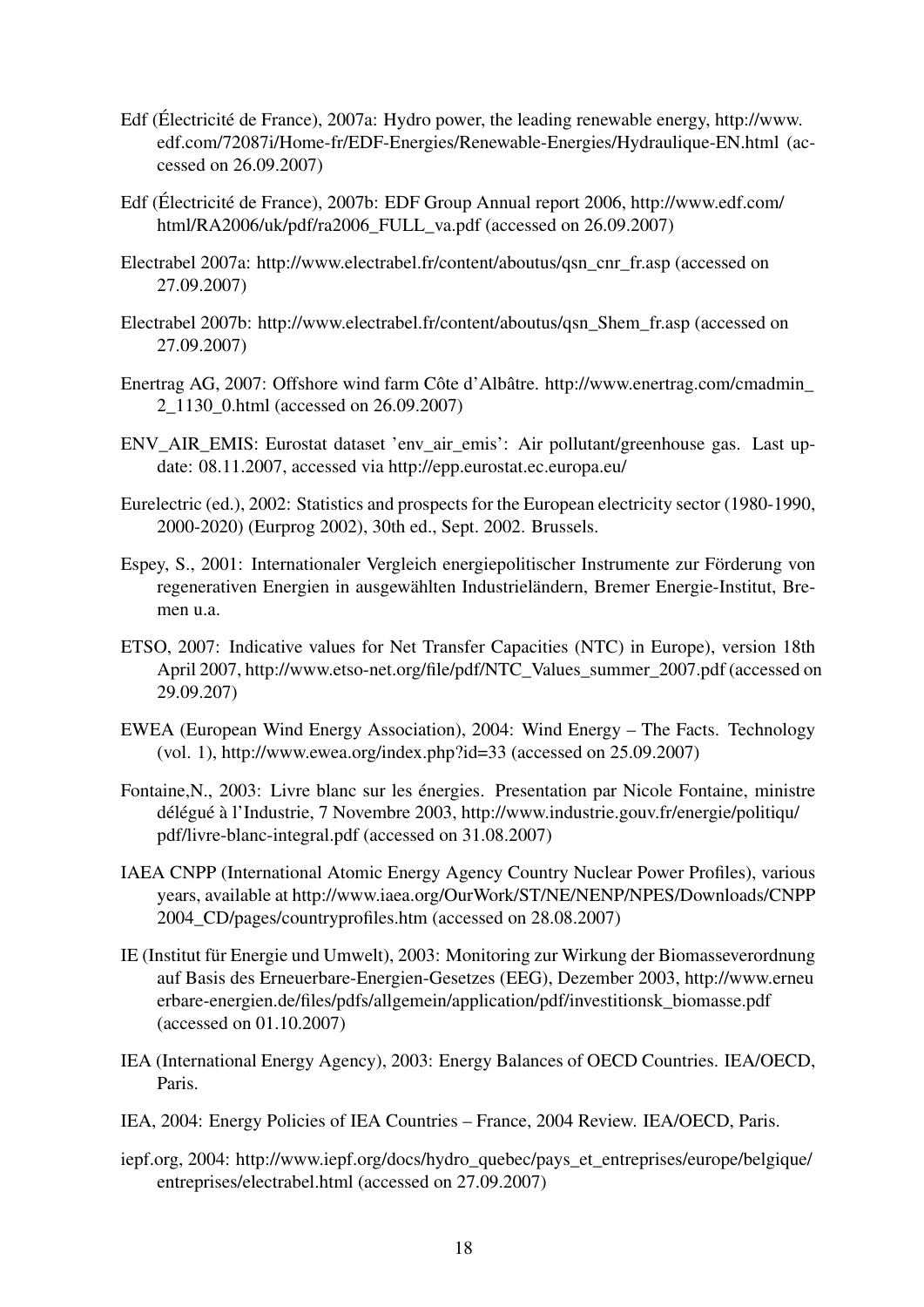- Edf (Électricité de France), 2007a: Hydro power, the leading renewable energy, http://www. edf.com/72087i/Home-fr/EDF-Energies/Renewable-Energies/Hydraulique-EN.html (accessed on 26.09.2007)
- Edf (Électricité de France), 2007b: EDF Group Annual report 2006, http://www.edf.com/ html/RA2006/uk/pdf/ra2006\_FULL\_va.pdf (accessed on 26.09.2007)
- Electrabel 2007a: http://www.electrabel.fr/content/aboutus/qsn\_cnr\_fr.asp (accessed on 27.09.2007)
- Electrabel 2007b: http://www.electrabel.fr/content/aboutus/qsn\_Shem\_fr.asp (accessed on 27.09.2007)
- Enertrag AG, 2007: Offshore wind farm Côte d'Albâtre. http://www.enertrag.com/cmadmin\_ 2\_1130\_0.html (accessed on 26.09.2007)
- ENV\_AIR\_EMIS: Eurostat dataset 'env\_air\_emis': Air pollutant/greenhouse gas. Last update: 08.11.2007, accessed via http://epp.eurostat.ec.europa.eu/
- Eurelectric (ed.), 2002: Statistics and prospects for the European electricity sector (1980-1990, 2000-2020) (Eurprog 2002), 30th ed., Sept. 2002. Brussels.
- Espey, S., 2001: Internationaler Vergleich energiepolitischer Instrumente zur Förderung von regenerativen Energien in ausgewählten Industrieländern, Bremer Energie-Institut, Bremen u.a.
- ETSO, 2007: Indicative values for Net Transfer Capacities (NTC) in Europe), version 18th April 2007, http://www.etso-net.org/file/pdf/NTC\_Values\_summer\_2007.pdf (accessed on 29.09.207)
- EWEA (European Wind Energy Association), 2004: Wind Energy The Facts. Technology (vol. 1), http://www.ewea.org/index.php?id=33 (accessed on 25.09.2007)
- Fontaine,N., 2003: Livre blanc sur les énergies. Presentation par Nicole Fontaine, ministre délégué à l'Industrie, 7 Novembre 2003, http://www.industrie.gouv.fr/energie/politiqu/ pdf/livre-blanc-integral.pdf (accessed on 31.08.2007)
- IAEA CNPP (International Atomic Energy Agency Country Nuclear Power Profiles), various years, available at http://www.iaea.org/OurWork/ST/NE/NENP/NPES/Downloads/CNPP 2004\_CD/pages/countryprofiles.htm (accessed on 28.08.2007)
- IE (Institut für Energie und Umwelt), 2003: Monitoring zur Wirkung der Biomasseverordnung auf Basis des Erneuerbare-Energien-Gesetzes (EEG), Dezember 2003, http://www.erneu erbare-energien.de/files/pdfs/allgemein/application/pdf/investitionsk\_biomasse.pdf (accessed on 01.10.2007)
- IEA (International Energy Agency), 2003: Energy Balances of OECD Countries. IEA/OECD, Paris.
- IEA, 2004: Energy Policies of IEA Countries France, 2004 Review. IEA/OECD, Paris.
- iepf.org, 2004: http://www.iepf.org/docs/hydro\_quebec/pays\_et\_entreprises/europe/belgique/ entreprises/electrabel.html (accessed on 27.09.2007)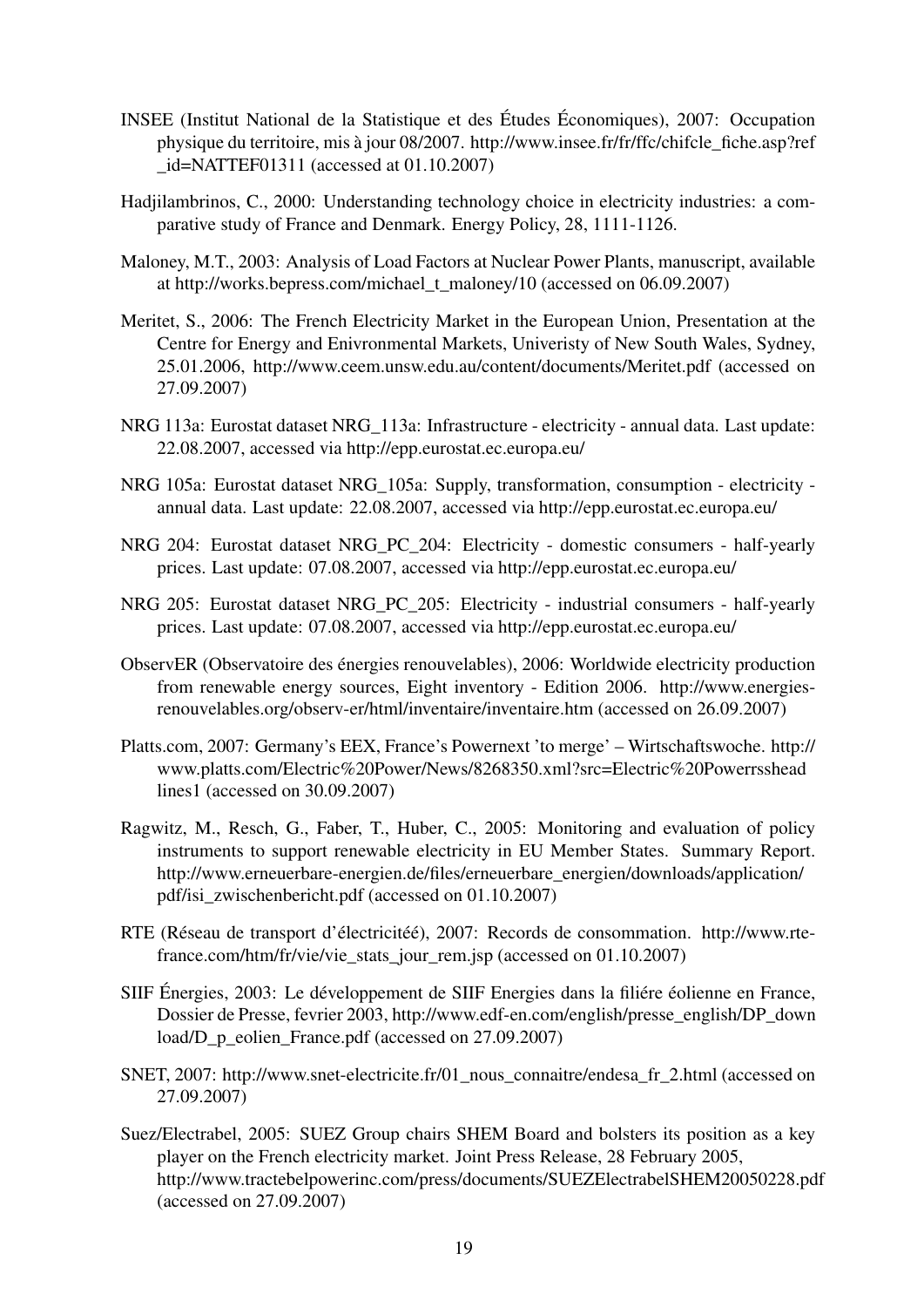- INSEE (Institut National de la Statistique et des Études Économiques), 2007: Occupation physique du territoire, mis à jour 08/2007. http://www.insee.fr/fr/ffc/chifcle\_fiche.asp?ref \_id=NATTEF01311 (accessed at 01.10.2007)
- Hadjilambrinos, C., 2000: Understanding technology choice in electricity industries: a comparative study of France and Denmark. Energy Policy, 28, 1111-1126.
- Maloney, M.T., 2003: Analysis of Load Factors at Nuclear Power Plants, manuscript, available at http://works.bepress.com/michael\_t\_maloney/10 (accessed on 06.09.2007)
- Meritet, S., 2006: The French Electricity Market in the European Union, Presentation at the Centre for Energy and Enivronmental Markets, Univeristy of New South Wales, Sydney, 25.01.2006, http://www.ceem.unsw.edu.au/content/documents/Meritet.pdf (accessed on 27.09.2007)
- NRG 113a: Eurostat dataset NRG\_113a: Infrastructure electricity annual data. Last update: 22.08.2007, accessed via http://epp.eurostat.ec.europa.eu/
- NRG 105a: Eurostat dataset NRG\_105a: Supply, transformation, consumption electricity annual data. Last update: 22.08.2007, accessed via http://epp.eurostat.ec.europa.eu/
- NRG 204: Eurostat dataset NRG\_PC\_204: Electricity domestic consumers half-yearly prices. Last update: 07.08.2007, accessed via http://epp.eurostat.ec.europa.eu/
- NRG 205: Eurostat dataset NRG\_PC\_205: Electricity industrial consumers half-yearly prices. Last update: 07.08.2007, accessed via http://epp.eurostat.ec.europa.eu/
- ObservER (Observatoire des énergies renouvelables), 2006: Worldwide electricity production from renewable energy sources, Eight inventory - Edition 2006. http://www.energiesrenouvelables.org/observ-er/html/inventaire/inventaire.htm (accessed on 26.09.2007)
- Platts.com, 2007: Germany's EEX, France's Powernext 'to merge' Wirtschaftswoche. http:// www.platts.com/Electric%20Power/News/8268350.xml?src=Electric%20Powerrsshead lines1 (accessed on 30.09.2007)
- Ragwitz, M., Resch, G., Faber, T., Huber, C., 2005: Monitoring and evaluation of policy instruments to support renewable electricity in EU Member States. Summary Report. http://www.erneuerbare-energien.de/files/erneuerbare\_energien/downloads/application/ pdf/isi\_zwischenbericht.pdf (accessed on 01.10.2007)
- RTE (Réseau de transport d'électricitéé), 2007: Records de consommation. http://www.rtefrance.com/htm/fr/vie/vie\_stats\_jour\_rem.jsp (accessed on 01.10.2007)
- SIIF Énergies, 2003: Le développement de SIIF Energies dans la filiére éolienne en France, Dossier de Presse, fevrier 2003, http://www.edf-en.com/english/presse\_english/DP\_down load/D\_p\_eolien\_France.pdf (accessed on 27.09.2007)
- SNET, 2007: http://www.snet-electricite.fr/01\_nous\_connaitre/endesa\_fr\_2.html (accessed on 27.09.2007)
- Suez/Electrabel, 2005: SUEZ Group chairs SHEM Board and bolsters its position as a key player on the French electricity market. Joint Press Release, 28 February 2005, http://www.tractebelpowerinc.com/press/documents/SUEZElectrabelSHEM20050228.pdf (accessed on 27.09.2007)